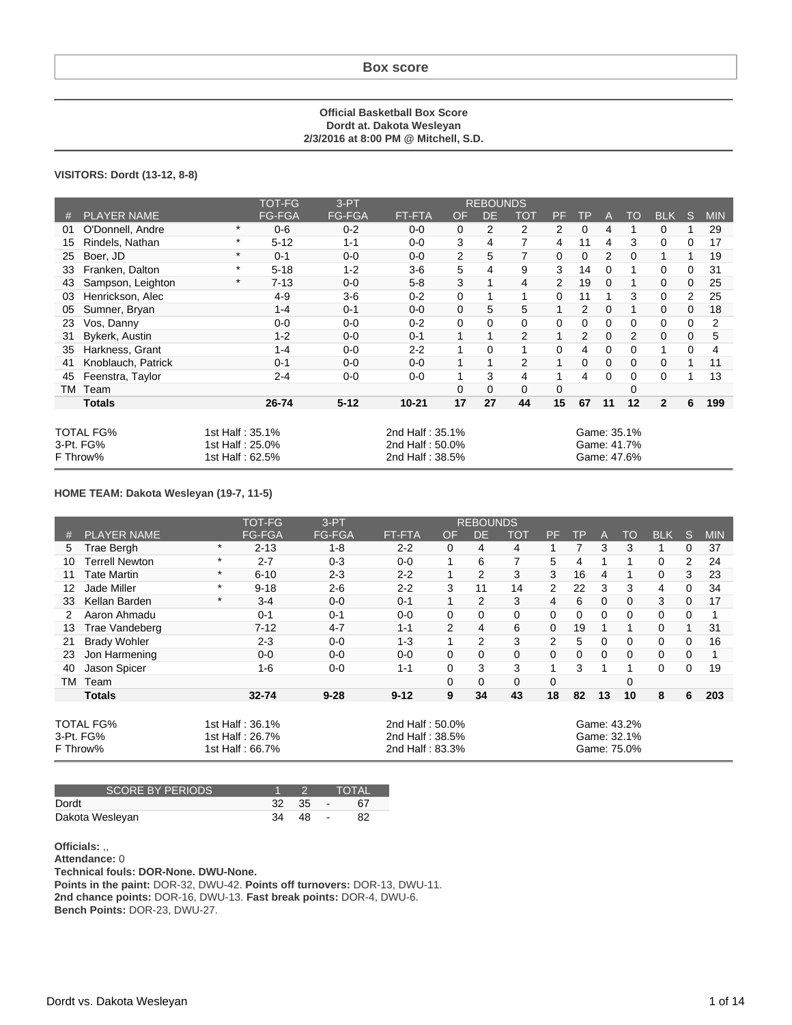#### **Official Basketball Box Score Dordt at. Dakota Wesleyan 2/3/2016 at 8:00 PM @ Mitchell, S.D.**

### **VISITORS: Dordt (13-12, 8-8)**

|    |                    |                 | <b>TOT-FG</b> | $3-PT$        |                 |              | <b>REBOUNDS</b> |                |                |             |                |                |                |             |            |
|----|--------------------|-----------------|---------------|---------------|-----------------|--------------|-----------------|----------------|----------------|-------------|----------------|----------------|----------------|-------------|------------|
| #  | <b>PLAYER NAME</b> |                 | <b>FG-FGA</b> | <b>FG-FGA</b> | <b>FT-FTA</b>   | <b>OF</b>    | <b>DE</b>       | <b>TOT</b>     | <b>PF</b>      | <b>TP</b>   | A              | TO             | <b>BLK</b>     | S           | <b>MIN</b> |
| 01 | O'Donnell, Andre   | $\ast$          | $0 - 6$       | $0 - 2$       | $0 - 0$         | $\mathbf 0$  | $\overline{2}$  | $\overline{2}$ | $\overline{2}$ | 0           | 4              |                | $\mathbf 0$    | 1           | 29         |
| 15 | Rindels, Nathan    | $\ast$          | $5 - 12$      | $1 - 1$       | $0 - 0$         | 3            | 4               | 7              | 4              | 11          | 4              | 3              | $\mathbf 0$    | 0           | 17         |
| 25 | Boer, JD           | $\ast$          | $0 - 1$       | $0 - 0$       | $0-0$           | 2            | 5               | $\overline{7}$ | $\mathbf 0$    | $\mathbf 0$ | $\overline{2}$ | $\Omega$       | 1              | 1           | 19         |
| 33 | Franken, Dalton    | $\star$         | $5 - 18$      | $1 - 2$       | $3-6$           | 5            | 4               | 9              | 3              | 14          | 0              |                | 0              | 0           | 31         |
| 43 | Sampson, Leighton  | $\ast$          | $7 - 13$      | $0 - 0$       | $5 - 8$         | 3            | 1               | 4              | $\overline{2}$ | 19          | $\mathbf 0$    |                | 0              | $\mathbf 0$ | 25         |
| 03 | Henrickson, Alec   |                 | $4-9$         | $3-6$         | $0 - 2$         | 0            | 1               |                | 0              | 11          |                | 3              | $\Omega$       | 2           | 25         |
| 05 | Sumner, Bryan      |                 | $1 - 4$       | $0 - 1$       | $0 - 0$         | $\mathbf 0$  | 5               | 5              | $\mathbf{1}$   | 2           | $\Omega$       | 1              | $\mathbf 0$    | $\mathbf 0$ | 18         |
| 23 | Vos, Danny         |                 | $0-0$         | $0 - 0$       | $0 - 2$         | 0            | 0               | $\Omega$       | 0              | 0           | 0              | $\Omega$       | $\mathbf 0$    | 0           | 2          |
| 31 | Bykerk, Austin     |                 | $1-2$         | $0 - 0$       | $0 - 1$         | $\mathbf{1}$ | 1               | $\overline{2}$ | $\mathbf{1}$   | 2           | $\mathbf 0$    | $\overline{2}$ | $\mathbf{0}$   | $\mathbf 0$ | 5          |
| 35 | Harkness, Grant    |                 | $1 - 4$       | $0-0$         | $2 - 2$         | $\mathbf{1}$ | 0               |                | $\mathbf 0$    | 4           | 0              | 0              |                | 0           | 4          |
| 41 | Knoblauch, Patrick |                 | $0 - 1$       | $0 - 0$       | $0-0$           | 1            | 1               | $\overline{2}$ | 1              | 0           | 0              | 0              | $\mathbf 0$    |             | 11         |
| 45 | Feenstra, Taylor   |                 | $2 - 4$       | $0 - 0$       | $0 - 0$         | 1            | 3               | 4              |                | 4           | 0              | 0              | 0              |             | 13         |
|    | TM Team            |                 |               |               |                 | $\Omega$     | $\mathbf 0$     | 0              | 0              |             |                | 0              |                |             |            |
|    | <b>Totals</b>      |                 | 26-74         | $5 - 12$      | $10 - 21$       | 17           | 27              | 44             | 15             | 67          | 11             | 12             | $\overline{2}$ | 6           | 199        |
|    |                    |                 |               |               |                 |              |                 |                |                |             |                |                |                |             |            |
|    | TOTAL FG%          | 1st Half: 35.1% |               |               | 2nd Half: 35.1% |              |                 |                |                |             |                | Game: 35.1%    |                |             |            |
|    | 3-Pt. FG%          | 1st Half: 25.0% |               |               | 2nd Half: 50.0% |              |                 |                |                |             |                | Game: 41.7%    |                |             |            |
|    | F Throw%           | 1st Half: 62.5% |               |               | 2nd Half: 38.5% |              |                 |                |                |             |                | Game: 47.6%    |                |             |            |

### **HOME TEAM: Dakota Wesleyan (19-7, 11-5)**

|    |                     |         | TOT-FG          | $3-PT$        |                 |               | <b>REBOUNDS</b> |          |                |           |          |             |            |   |            |
|----|---------------------|---------|-----------------|---------------|-----------------|---------------|-----------------|----------|----------------|-----------|----------|-------------|------------|---|------------|
| #  | <b>PLAYER NAME</b>  |         | <b>FG-FGA</b>   | <b>FG-FGA</b> | FT-FTA'         | <b>OF</b>     | DE              | TOT      | PF             | <b>TP</b> | A        | TO          | <b>BLK</b> | S | <b>MIN</b> |
| 5  | Trae Bergh          | $\star$ | $2 - 13$        | $1 - 8$       | $2 - 2$         | $\Omega$      | 4               | 4        |                | 7         | 3        | 3           | 1          | 0 | 37         |
| 10 | Terrell Newton      | *       | $2 - 7$         | $0 - 3$       | $0 - 0$         |               | 6               | 7        | 5              | 4         |          |             | 0          | 2 | 24         |
| 11 | Tate Martin         | $\ast$  | $6 - 10$        | $2 - 3$       | $2 - 2$         |               | $\mathcal{P}$   | 3        | 3              | 16        | 4        |             | $\Omega$   | 3 | 23         |
| 12 | Jade Miller         | $\ast$  | $9 - 18$        | $2 - 6$       | $2 - 2$         | 3             | 11              | 14       | $\overline{2}$ | 22        | 3        | 3           | 4          | 0 | 34         |
| 33 | Kellan Barden       | $\ast$  | $3 - 4$         | $0 - 0$       | $0 - 1$         |               | $\mathcal{P}$   | 3        | 4              | 6         | 0        | 0           | 3          | 0 | 17         |
| 2  | Aaron Ahmadu        |         | $0 - 1$         | $0 - 1$       | $0 - 0$         | $\Omega$      | 0               | $\Omega$ | 0              | 0         | 0        | 0           | $\Omega$   | 0 |            |
| 13 | Trae Vandeberg      |         | $7 - 12$        | $4 - 7$       | $1 - 1$         | $\mathcal{P}$ | 4               | 6        | $\Omega$       | 19        |          |             | $\Omega$   | 1 | 31         |
| 21 | <b>Brady Wohler</b> |         | $2 - 3$         | $0 - 0$       | $1 - 3$         |               | 2               | 3        | 2              | 5         | 0        | $\Omega$    | 0          | 0 | 16         |
| 23 | Jon Harmening       |         | $0 - 0$         | $0 - 0$       | $0 - 0$         | $\Omega$      | 0               | $\Omega$ | $\Omega$       | $\Omega$  | $\Omega$ | $\Omega$    | $\Omega$   | 0 |            |
| 40 | Jason Spicer        |         | $1 - 6$         | $0-0$         | $1 - 1$         | $\Omega$      | 3               | 3        | 1              | 3         |          |             | $\Omega$   | 0 | 19         |
| TM | Team                |         |                 |               |                 | $\Omega$      | $\Omega$        | $\Omega$ | $\Omega$       |           |          | $\Omega$    |            |   |            |
|    | <b>Totals</b>       |         | 32-74           | $9 - 28$      | $9 - 12$        | 9             | 34              | 43       | 18             | 82        | 13       | 10          | 8          | 6 | 203        |
|    |                     |         |                 |               |                 |               |                 |          |                |           |          |             |            |   |            |
|    | TOTAL FG%           |         | 1st Half: 36.1% |               | 2nd Half: 50.0% |               |                 |          |                |           |          | Game: 43.2% |            |   |            |
|    | 3-Pt. FG%           |         | 1st Half: 26.7% |               | 2nd Half: 38.5% |               |                 |          |                |           |          | Game: 32.1% |            |   |            |
|    | F Throw%            |         | 1st Half: 66.7% |               | 2nd Half: 83.3% |               |                 |          |                |           |          | Game: 75.0% |            |   |            |

| <b>SCORE BY PERIODS</b> |    |       |                          | ΤΟΤΑΙ ' |
|-------------------------|----|-------|--------------------------|---------|
| Dordt                   |    | 32 35 | <b>Contract Contract</b> |         |
| Dakota Wesleyan         | 34 | 48.   | $\sim$                   |         |

**Officials:** ,,

**Attendance:** 0

**Technical fouls: DOR-None. DWU-None.**

**Points in the paint:** DOR-32, DWU-42. **Points off turnovers:** DOR-13, DWU-11. **2nd chance points:** DOR-16, DWU-13. **Fast break points:** DOR-4, DWU-6. **Bench Points:** DOR-23, DWU-27.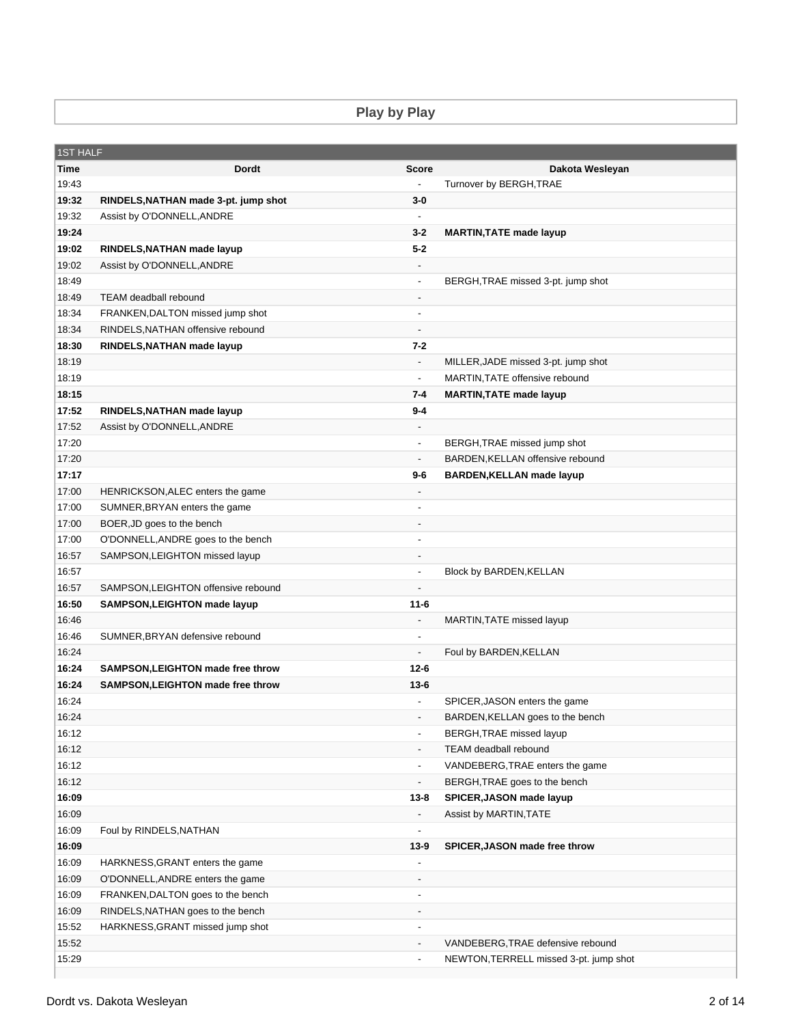**Play by Play**

| <b>1ST HALF</b> |                                          |                          |                                        |
|-----------------|------------------------------------------|--------------------------|----------------------------------------|
| Time            | <b>Dordt</b>                             | <b>Score</b>             | Dakota Wesleyan                        |
| 19:43           |                                          | $\blacksquare$           | Turnover by BERGH, TRAE                |
| 19:32           | RINDELS, NATHAN made 3-pt. jump shot     | $3-0$                    |                                        |
| 19:32           | Assist by O'DONNELL, ANDRE               | $\blacksquare$           |                                        |
| 19:24           |                                          | $3 - 2$                  | <b>MARTIN, TATE made layup</b>         |
| 19:02           | RINDELS, NATHAN made layup               | $5 - 2$                  |                                        |
| 19:02           | Assist by O'DONNELL, ANDRE               | $\overline{\phantom{a}}$ |                                        |
| 18:49           |                                          | $\overline{\phantom{a}}$ | BERGH, TRAE missed 3-pt. jump shot     |
| 18:49           | <b>TEAM deadball rebound</b>             | $\overline{\phantom{a}}$ |                                        |
| 18:34           | FRANKEN, DALTON missed jump shot         | $\overline{\phantom{a}}$ |                                        |
| 18:34           | RINDELS, NATHAN offensive rebound        | $\overline{\phantom{a}}$ |                                        |
| 18:30           | RINDELS, NATHAN made layup               | 7-2                      |                                        |
| 18:19           |                                          | $\overline{\phantom{a}}$ | MILLER, JADE missed 3-pt. jump shot    |
| 18:19           |                                          | $\overline{\phantom{a}}$ | MARTIN, TATE offensive rebound         |
| 18:15           |                                          | 7-4                      | <b>MARTIN, TATE made layup</b>         |
| 17:52           | RINDELS, NATHAN made layup               | 9-4                      |                                        |
| 17:52           | Assist by O'DONNELL, ANDRE               | $\overline{\phantom{a}}$ |                                        |
| 17:20           |                                          | $\overline{\phantom{a}}$ | BERGH, TRAE missed jump shot           |
| 17:20           |                                          | $\overline{\phantom{a}}$ | BARDEN, KELLAN offensive rebound       |
| 17:17           |                                          | 9-6                      | <b>BARDEN, KELLAN made layup</b>       |
| 17:00           | HENRICKSON, ALEC enters the game         | $\overline{\phantom{a}}$ |                                        |
| 17:00           | SUMNER, BRYAN enters the game            | $\overline{\phantom{a}}$ |                                        |
| 17:00           | BOER, JD goes to the bench               | $\overline{a}$           |                                        |
| 17:00           | O'DONNELL, ANDRE goes to the bench       | $\overline{\phantom{a}}$ |                                        |
| 16:57           | SAMPSON, LEIGHTON missed layup           | $\overline{\phantom{a}}$ |                                        |
| 16:57           |                                          | $\overline{\phantom{a}}$ | Block by BARDEN, KELLAN                |
| 16:57           | SAMPSON, LEIGHTON offensive rebound      |                          |                                        |
| 16:50           | SAMPSON, LEIGHTON made layup             | $11 - 6$                 |                                        |
| 16:46           |                                          | $\overline{\phantom{a}}$ | MARTIN, TATE missed layup              |
| 16:46           | SUMNER, BRYAN defensive rebound          | $\overline{\phantom{a}}$ |                                        |
| 16:24           |                                          | $\overline{\phantom{a}}$ | Foul by BARDEN, KELLAN                 |
| 16:24           | <b>SAMPSON, LEIGHTON made free throw</b> | $12 - 6$                 |                                        |
| 16:24           | SAMPSON, LEIGHTON made free throw        | $13 - 6$                 |                                        |
| 16:24           |                                          |                          | SPICER, JASON enters the game          |
| 16:24           |                                          | $\overline{\phantom{a}}$ | BARDEN, KELLAN goes to the bench       |
| 16:12           |                                          | $\overline{\phantom{a}}$ | BERGH, TRAE missed layup               |
| 16:12           |                                          | $\overline{\phantom{a}}$ | <b>TEAM</b> deadball rebound           |
| 16:12           |                                          | $\overline{\phantom{a}}$ | VANDEBERG, TRAE enters the game        |
| 16:12           |                                          | $\overline{\phantom{a}}$ | BERGH, TRAE goes to the bench          |
| 16:09           |                                          | $13 - 8$                 | SPICER, JASON made layup               |
| 16:09           |                                          | $\overline{\phantom{a}}$ | Assist by MARTIN, TATE                 |
| 16:09           | Foul by RINDELS, NATHAN                  | $\overline{a}$           |                                        |
| 16:09           |                                          | $13-9$                   | SPICER, JASON made free throw          |
| 16:09           | HARKNESS, GRANT enters the game          | $\overline{a}$           |                                        |
| 16:09           | O'DONNELL, ANDRE enters the game         |                          |                                        |
| 16:09           | FRANKEN, DALTON goes to the bench        | $\overline{\phantom{a}}$ |                                        |
| 16:09           | RINDELS, NATHAN goes to the bench        | $\overline{\phantom{a}}$ |                                        |
| 15:52           | HARKNESS, GRANT missed jump shot         | $\overline{\phantom{a}}$ |                                        |
| 15:52           |                                          | $\overline{\phantom{a}}$ | VANDEBERG, TRAE defensive rebound      |
| 15:29           |                                          | $\overline{\phantom{a}}$ | NEWTON, TERRELL missed 3-pt. jump shot |
|                 |                                          |                          |                                        |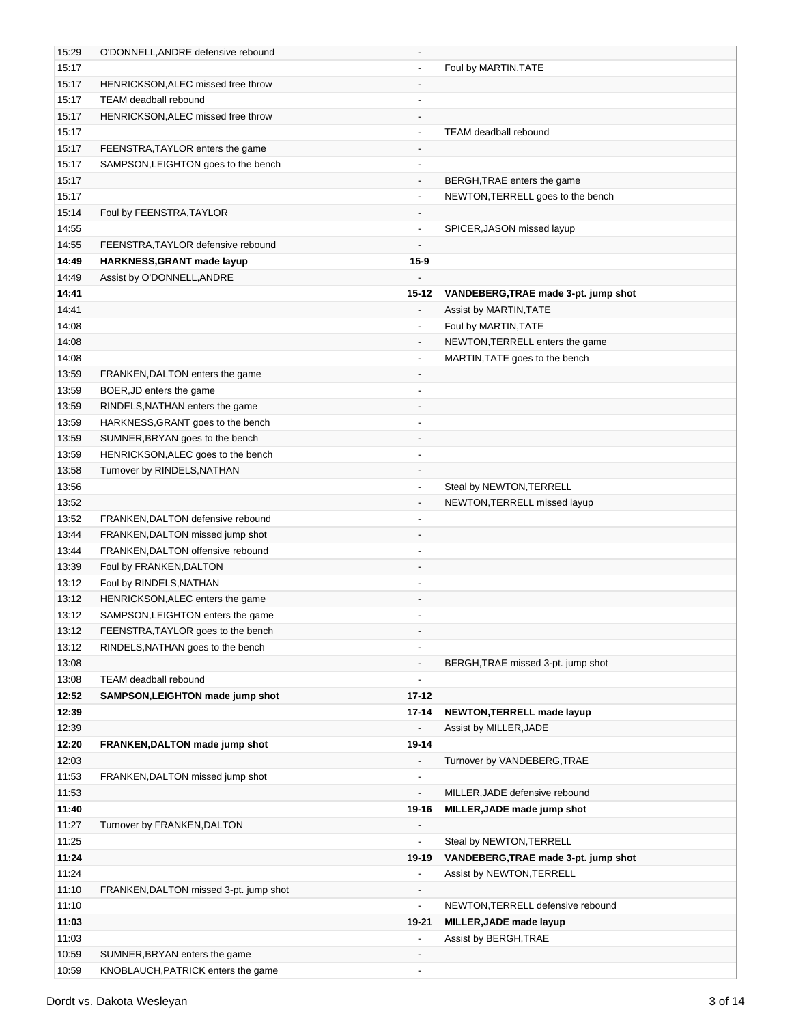| 15:29 | O'DONNELL, ANDRE defensive rebound     | $\overline{\phantom{a}}$ |                                      |
|-------|----------------------------------------|--------------------------|--------------------------------------|
| 15:17 |                                        |                          | Foul by MARTIN, TATE                 |
| 15:17 | HENRICKSON, ALEC missed free throw     | $\overline{\phantom{a}}$ |                                      |
| 15:17 | TEAM deadball rebound                  | $\overline{a}$           |                                      |
| 15:17 | HENRICKSON, ALEC missed free throw     |                          |                                      |
| 15:17 |                                        |                          | <b>TEAM</b> deadball rebound         |
| 15:17 | FEENSTRA, TAYLOR enters the game       |                          |                                      |
| 15:17 | SAMPSON, LEIGHTON goes to the bench    |                          |                                      |
| 15:17 |                                        | $\overline{\phantom{a}}$ | BERGH, TRAE enters the game          |
| 15:17 |                                        | $\overline{\phantom{a}}$ | NEWTON, TERRELL goes to the bench    |
| 15:14 | Foul by FEENSTRA, TAYLOR               | $\overline{\phantom{a}}$ |                                      |
| 14:55 |                                        | $\overline{\phantom{a}}$ | SPICER, JASON missed layup           |
| 14:55 | FEENSTRA, TAYLOR defensive rebound     | $\overline{\phantom{a}}$ |                                      |
| 14:49 | HARKNESS, GRANT made layup             | $15 - 9$                 |                                      |
| 14:49 | Assist by O'DONNELL, ANDRE             |                          |                                      |
| 14:41 |                                        | 15-12                    | VANDEBERG, TRAE made 3-pt. jump shot |
| 14:41 |                                        |                          | Assist by MARTIN, TATE               |
| 14:08 |                                        | $\overline{\phantom{a}}$ | Foul by MARTIN, TATE                 |
| 14:08 |                                        | $\overline{a}$           | NEWTON, TERRELL enters the game      |
| 14:08 |                                        | $\overline{\phantom{a}}$ | MARTIN, TATE goes to the bench       |
| 13:59 | FRANKEN, DALTON enters the game        |                          |                                      |
| 13:59 | BOER, JD enters the game               | $\overline{\phantom{a}}$ |                                      |
| 13:59 | RINDELS, NATHAN enters the game        | $\overline{\phantom{a}}$ |                                      |
| 13:59 | HARKNESS, GRANT goes to the bench      | $\overline{\phantom{a}}$ |                                      |
| 13:59 | SUMNER, BRYAN goes to the bench        |                          |                                      |
| 13:59 | HENRICKSON, ALEC goes to the bench     | $\overline{\phantom{a}}$ |                                      |
| 13:58 | Turnover by RINDELS, NATHAN            |                          |                                      |
| 13:56 |                                        | $\overline{\phantom{a}}$ | Steal by NEWTON, TERRELL             |
| 13:52 |                                        | $\overline{\phantom{a}}$ | NEWTON, TERRELL missed layup         |
| 13:52 | FRANKEN, DALTON defensive rebound      | $\overline{\phantom{a}}$ |                                      |
| 13:44 | FRANKEN, DALTON missed jump shot       | $\overline{\phantom{a}}$ |                                      |
| 13:44 | FRANKEN, DALTON offensive rebound      |                          |                                      |
| 13:39 | Foul by FRANKEN, DALTON                |                          |                                      |
| 13:12 | Foul by RINDELS, NATHAN                |                          |                                      |
| 13:12 | HENRICKSON, ALEC enters the game       |                          |                                      |
| 13:12 | SAMPSON, LEIGHTON enters the game      |                          |                                      |
| 13:12 | FEENSTRA, TAYLOR goes to the bench     | $\overline{\phantom{a}}$ |                                      |
| 13:12 | RINDELS, NATHAN goes to the bench      | $\overline{\phantom{a}}$ |                                      |
| 13:08 |                                        | $\overline{\phantom{a}}$ | BERGH, TRAE missed 3-pt. jump shot   |
| 13:08 | TEAM deadball rebound                  | $\overline{\phantom{a}}$ |                                      |
| 12:52 | SAMPSON, LEIGHTON made jump shot       | $17 - 12$                |                                      |
| 12:39 |                                        | 17-14                    | NEWTON, TERRELL made layup           |
| 12:39 |                                        | $\overline{\phantom{a}}$ | Assist by MILLER, JADE               |
| 12:20 | FRANKEN, DALTON made jump shot         | 19-14                    |                                      |
| 12:03 |                                        | $\blacksquare$           | Turnover by VANDEBERG, TRAE          |
| 11:53 |                                        | $\overline{\phantom{a}}$ |                                      |
|       | FRANKEN, DALTON missed jump shot       | $\blacksquare$           |                                      |
| 11:53 |                                        |                          | MILLER, JADE defensive rebound       |
| 11:40 |                                        | 19-16                    | MILLER, JADE made jump shot          |
| 11:27 | Turnover by FRANKEN, DALTON            | $\overline{\phantom{a}}$ |                                      |
| 11:25 |                                        | $\overline{\phantom{a}}$ | Steal by NEWTON, TERRELL             |
| 11:24 |                                        | 19-19                    | VANDEBERG, TRAE made 3-pt. jump shot |
| 11:24 |                                        | $\overline{\phantom{a}}$ | Assist by NEWTON, TERRELL            |
| 11:10 | FRANKEN, DALTON missed 3-pt. jump shot |                          |                                      |
| 11:10 |                                        | $\overline{\phantom{a}}$ | NEWTON, TERRELL defensive rebound    |
| 11:03 |                                        | 19-21                    | MILLER, JADE made layup              |
| 11:03 |                                        | $\overline{\phantom{a}}$ | Assist by BERGH, TRAE                |
| 10:59 | SUMNER, BRYAN enters the game          |                          |                                      |
| 10:59 | KNOBLAUCH, PATRICK enters the game     | $\blacksquare$           |                                      |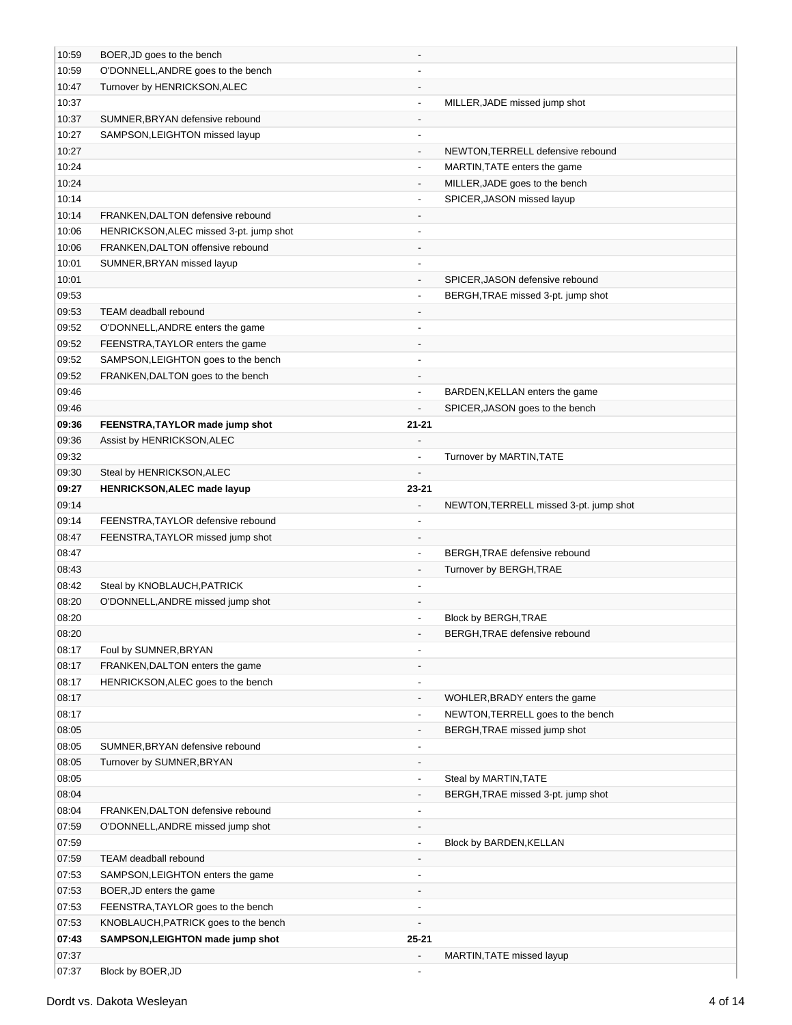| 10:59 | BOER, JD goes to the bench              |                          |                                        |
|-------|-----------------------------------------|--------------------------|----------------------------------------|
| 10:59 | O'DONNELL, ANDRE goes to the bench      |                          |                                        |
| 10:47 | Turnover by HENRICKSON, ALEC            |                          |                                        |
| 10:37 |                                         |                          | MILLER, JADE missed jump shot          |
| 10:37 | SUMNER, BRYAN defensive rebound         | $\overline{\phantom{a}}$ |                                        |
| 10:27 | SAMPSON, LEIGHTON missed layup          | $\overline{\phantom{a}}$ |                                        |
| 10:27 |                                         | $\overline{\phantom{a}}$ | NEWTON, TERRELL defensive rebound      |
| 10:24 |                                         | $\blacksquare$           | MARTIN, TATE enters the game           |
| 10:24 |                                         | $\overline{\phantom{a}}$ | MILLER, JADE goes to the bench         |
| 10:14 |                                         | $\overline{\phantom{a}}$ | SPICER, JASON missed layup             |
| 10:14 | FRANKEN, DALTON defensive rebound       | $\overline{\phantom{a}}$ |                                        |
| 10:06 | HENRICKSON, ALEC missed 3-pt. jump shot | $\overline{\phantom{a}}$ |                                        |
| 10:06 | FRANKEN, DALTON offensive rebound       | $\overline{\phantom{a}}$ |                                        |
| 10:01 | SUMNER, BRYAN missed layup              |                          |                                        |
| 10:01 |                                         | $\overline{\phantom{a}}$ | SPICER, JASON defensive rebound        |
| 09:53 |                                         | $\blacksquare$           | BERGH, TRAE missed 3-pt. jump shot     |
| 09:53 | <b>TEAM deadball rebound</b>            |                          |                                        |
| 09:52 | O'DONNELL, ANDRE enters the game        | $\blacksquare$           |                                        |
| 09:52 | FEENSTRA, TAYLOR enters the game        |                          |                                        |
| 09:52 | SAMPSON, LEIGHTON goes to the bench     |                          |                                        |
| 09:52 | FRANKEN, DALTON goes to the bench       | $\overline{\phantom{a}}$ |                                        |
| 09:46 |                                         | $\overline{\phantom{a}}$ | BARDEN, KELLAN enters the game         |
| 09:46 |                                         | $\overline{a}$           | SPICER, JASON goes to the bench        |
|       |                                         |                          |                                        |
| 09:36 | FEENSTRA, TAYLOR made jump shot         | $21 - 21$                |                                        |
| 09:36 | Assist by HENRICKSON, ALEC              |                          |                                        |
| 09:32 |                                         |                          | Turnover by MARTIN, TATE               |
| 09:30 | Steal by HENRICKSON, ALEC               |                          |                                        |
| 09:27 | <b>HENRICKSON, ALEC made layup</b>      | 23-21                    |                                        |
| 09:14 |                                         | $\overline{\phantom{a}}$ | NEWTON, TERRELL missed 3-pt. jump shot |
| 09:14 | FEENSTRA, TAYLOR defensive rebound      |                          |                                        |
| 08:47 | FEENSTRA, TAYLOR missed jump shot       |                          |                                        |
| 08:47 |                                         | $\overline{\phantom{a}}$ | BERGH, TRAE defensive rebound          |
| 08:43 |                                         | $\overline{\phantom{a}}$ | Turnover by BERGH, TRAE                |
| 08:42 | Steal by KNOBLAUCH, PATRICK             |                          |                                        |
| 08:20 | O'DONNELL, ANDRE missed jump shot       |                          |                                        |
| 08:20 |                                         | $\overline{\phantom{a}}$ | Block by BERGH, TRAE                   |
| 08:20 |                                         |                          | BERGH, TRAE defensive rebound          |
| 08:17 | Foul by SUMNER, BRYAN                   |                          |                                        |
| 08:17 | FRANKEN, DALTON enters the game         |                          |                                        |
| 08:17 | HENRICKSON, ALEC goes to the bench      | $\overline{\phantom{a}}$ |                                        |
| 08:17 |                                         | $\overline{\phantom{a}}$ | WOHLER, BRADY enters the game          |
| 08:17 |                                         | $\blacksquare$           | NEWTON, TERRELL goes to the bench      |
| 08:05 |                                         | $\overline{\phantom{a}}$ | BERGH, TRAE missed jump shot           |
| 08:05 | SUMNER, BRYAN defensive rebound         |                          |                                        |
| 08:05 | Turnover by SUMNER, BRYAN               |                          |                                        |
| 08:05 |                                         | $\blacksquare$           | Steal by MARTIN, TATE                  |
| 08:04 |                                         |                          | BERGH, TRAE missed 3-pt. jump shot     |
| 08:04 | FRANKEN, DALTON defensive rebound       | $\overline{\phantom{a}}$ |                                        |
| 07:59 | O'DONNELL, ANDRE missed jump shot       |                          |                                        |
| 07:59 |                                         | $\overline{\phantom{a}}$ | Block by BARDEN, KELLAN                |
| 07:59 | TEAM deadball rebound                   |                          |                                        |
| 07:53 | SAMPSON, LEIGHTON enters the game       | $\overline{\phantom{a}}$ |                                        |
| 07:53 | BOER, JD enters the game                | $\overline{\phantom{a}}$ |                                        |
| 07:53 | FEENSTRA, TAYLOR goes to the bench      | $\overline{\phantom{a}}$ |                                        |
| 07:53 | KNOBLAUCH, PATRICK goes to the bench    | $\overline{\phantom{a}}$ |                                        |
| 07:43 | SAMPSON, LEIGHTON made jump shot        | $25 - 21$                |                                        |
| 07:37 |                                         | $\overline{a}$           | MARTIN, TATE missed layup              |
| 07:37 | Block by BOER, JD                       |                          |                                        |
|       |                                         |                          |                                        |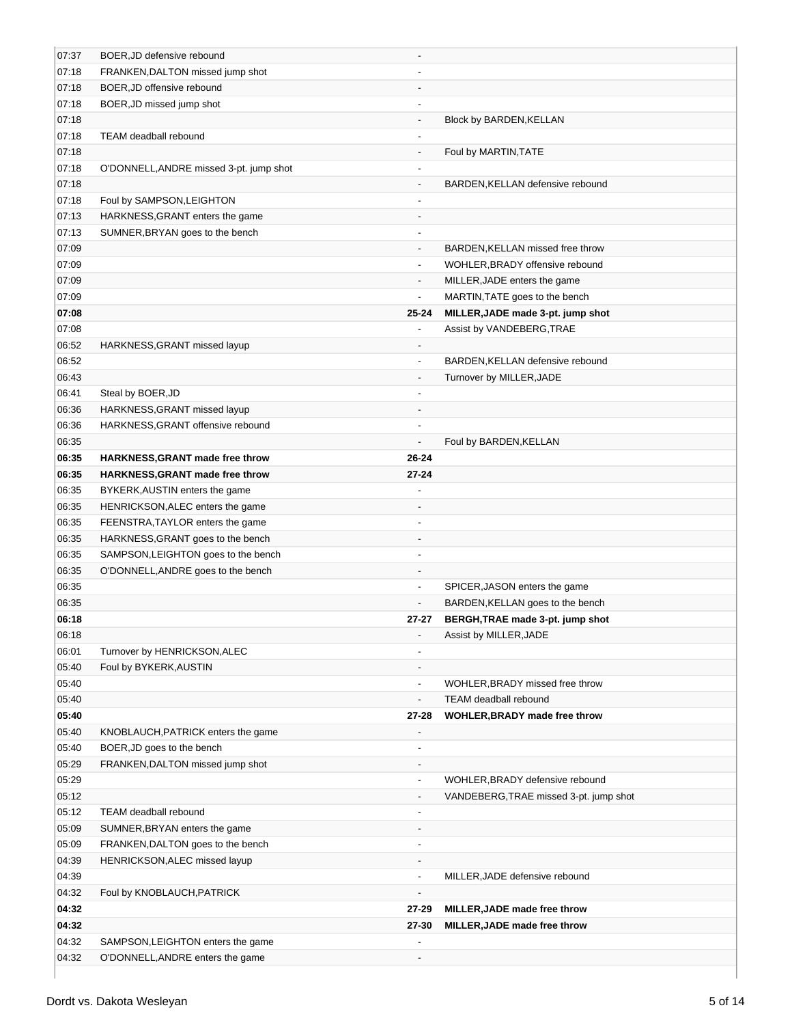| 07:37 | BOER, JD defensive rebound              |                          |                                        |
|-------|-----------------------------------------|--------------------------|----------------------------------------|
| 07:18 | FRANKEN, DALTON missed jump shot        |                          |                                        |
| 07:18 | BOER, JD offensive rebound              |                          |                                        |
| 07:18 | BOER, JD missed jump shot               |                          |                                        |
| 07:18 |                                         | $\overline{\phantom{a}}$ | Block by BARDEN, KELLAN                |
| 07:18 | TEAM deadball rebound                   | $\blacksquare$           |                                        |
| 07:18 |                                         | $\overline{\phantom{a}}$ | Foul by MARTIN, TATE                   |
| 07:18 | O'DONNELL, ANDRE missed 3-pt. jump shot | $\overline{\phantom{a}}$ |                                        |
| 07:18 |                                         | $\overline{\phantom{a}}$ | BARDEN, KELLAN defensive rebound       |
| 07:18 | Foul by SAMPSON, LEIGHTON               | $\overline{\phantom{a}}$ |                                        |
| 07:13 | HARKNESS, GRANT enters the game         | $\overline{\phantom{a}}$ |                                        |
| 07:13 | SUMNER, BRYAN goes to the bench         | $\overline{\phantom{a}}$ |                                        |
| 07:09 |                                         | $\overline{\phantom{a}}$ | BARDEN, KELLAN missed free throw       |
| 07:09 |                                         | $\blacksquare$           | WOHLER, BRADY offensive rebound        |
| 07:09 |                                         | $\overline{\phantom{a}}$ | MILLER, JADE enters the game           |
| 07:09 |                                         | $\overline{\phantom{a}}$ | MARTIN, TATE goes to the bench         |
| 07:08 |                                         | $25 - 24$                | MILLER, JADE made 3-pt. jump shot      |
| 07:08 |                                         |                          | Assist by VANDEBERG, TRAE              |
| 06:52 | HARKNESS, GRANT missed layup            | $\overline{\phantom{a}}$ |                                        |
| 06:52 |                                         | $\overline{\phantom{a}}$ | BARDEN, KELLAN defensive rebound       |
| 06:43 |                                         | $\overline{\phantom{a}}$ | Turnover by MILLER, JADE               |
| 06:41 | Steal by BOER, JD                       | $\overline{\phantom{a}}$ |                                        |
| 06:36 | HARKNESS, GRANT missed layup            | $\overline{\phantom{a}}$ |                                        |
| 06:36 | HARKNESS, GRANT offensive rebound       | $\blacksquare$           |                                        |
| 06:35 |                                         | $\blacksquare$           | Foul by BARDEN, KELLAN                 |
| 06:35 | HARKNESS, GRANT made free throw         | 26-24                    |                                        |
| 06:35 | HARKNESS, GRANT made free throw         | $27 - 24$                |                                        |
| 06:35 | BYKERK, AUSTIN enters the game          |                          |                                        |
| 06:35 | HENRICKSON, ALEC enters the game        |                          |                                        |
| 06:35 | FEENSTRA, TAYLOR enters the game        |                          |                                        |
| 06:35 | HARKNESS, GRANT goes to the bench       |                          |                                        |
| 06:35 | SAMPSON, LEIGHTON goes to the bench     |                          |                                        |
| 06:35 | O'DONNELL, ANDRE goes to the bench      |                          |                                        |
| 06:35 |                                         | $\blacksquare$           | SPICER, JASON enters the game          |
| 06:35 |                                         | $\overline{\phantom{a}}$ | BARDEN, KELLAN goes to the bench       |
| 06:18 |                                         | 27-27                    | BERGH, TRAE made 3-pt. jump shot       |
| 06:18 |                                         |                          | Assist by MILLER, JADE                 |
| 06:01 | Turnover by HENRICKSON, ALEC            |                          |                                        |
| 05:40 | Foul by BYKERK, AUSTIN                  |                          |                                        |
| 05:40 |                                         | $\overline{\phantom{a}}$ | WOHLER, BRADY missed free throw        |
| 05:40 |                                         |                          | TEAM deadball rebound                  |
| 05:40 |                                         | 27-28                    | WOHLER, BRADY made free throw          |
| 05:40 | KNOBLAUCH, PATRICK enters the game      |                          |                                        |
| 05:40 | BOER, JD goes to the bench              |                          |                                        |
| 05:29 | FRANKEN, DALTON missed jump shot        | $\overline{\phantom{a}}$ |                                        |
| 05:29 |                                         | $\blacksquare$           | WOHLER, BRADY defensive rebound        |
| 05:12 |                                         | $\overline{\phantom{a}}$ | VANDEBERG, TRAE missed 3-pt. jump shot |
| 05:12 | TEAM deadball rebound                   | $\overline{\phantom{a}}$ |                                        |
| 05:09 | SUMNER, BRYAN enters the game           | $\overline{\phantom{a}}$ |                                        |
| 05:09 | FRANKEN, DALTON goes to the bench       | $\overline{\phantom{a}}$ |                                        |
| 04:39 | HENRICKSON, ALEC missed layup           | $\overline{\phantom{a}}$ |                                        |
| 04:39 |                                         | $\overline{\phantom{a}}$ | MILLER, JADE defensive rebound         |
| 04:32 | Foul by KNOBLAUCH, PATRICK              | $\overline{\phantom{a}}$ |                                        |
| 04:32 |                                         | $27 - 29$                | MILLER, JADE made free throw           |
| 04:32 |                                         | 27-30                    | MILLER, JADE made free throw           |
| 04:32 | SAMPSON, LEIGHTON enters the game       |                          |                                        |
| 04:32 | O'DONNELL, ANDRE enters the game        |                          |                                        |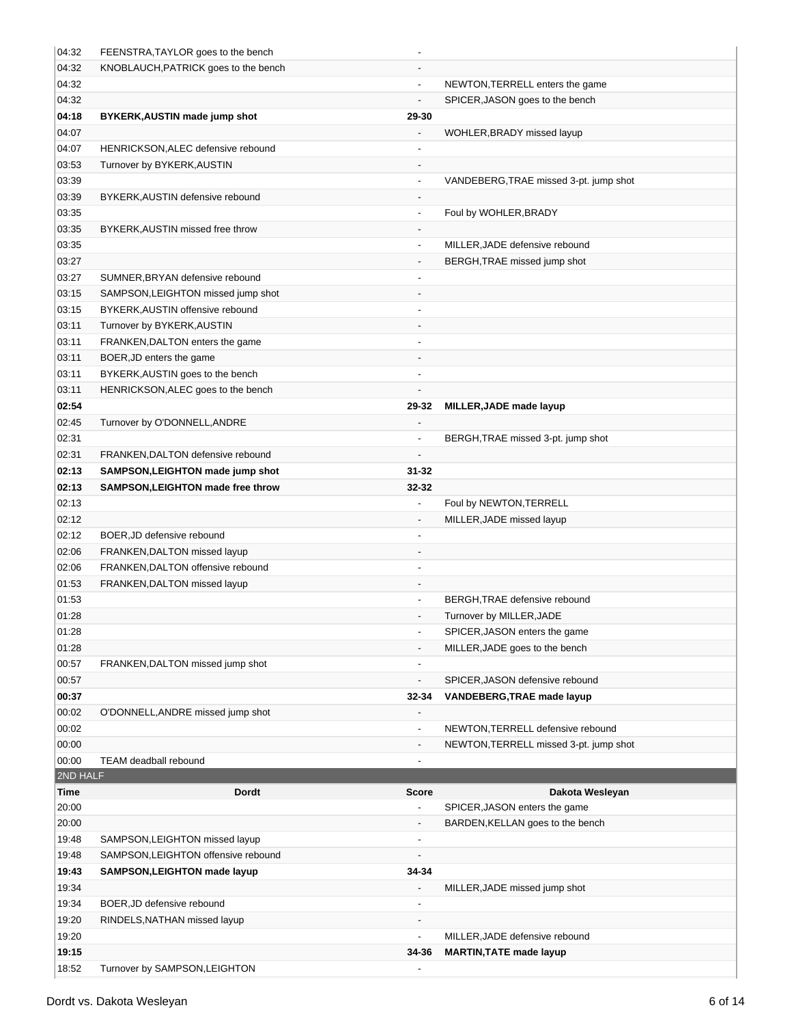| 04:32            | FEENSTRA, TAYLOR goes to the bench                                     |                              |                                                  |  |
|------------------|------------------------------------------------------------------------|------------------------------|--------------------------------------------------|--|
| 04:32            | KNOBLAUCH, PATRICK goes to the bench                                   |                              |                                                  |  |
| 04:32            |                                                                        | $\blacksquare$               | NEWTON, TERRELL enters the game                  |  |
| 04:32            |                                                                        | $\overline{a}$               | SPICER, JASON goes to the bench                  |  |
| 04:18            | BYKERK, AUSTIN made jump shot                                          | 29-30                        |                                                  |  |
| 04:07            |                                                                        |                              | WOHLER, BRADY missed layup                       |  |
| 04:07            | HENRICKSON, ALEC defensive rebound                                     |                              |                                                  |  |
| 03:53            | Turnover by BYKERK, AUSTIN                                             | $\qquad \qquad \blacksquare$ |                                                  |  |
| 03:39            |                                                                        | $\overline{\phantom{a}}$     | VANDEBERG, TRAE missed 3-pt. jump shot           |  |
| 03:39            | BYKERK, AUSTIN defensive rebound                                       | $\overline{\phantom{a}}$     |                                                  |  |
| 03:35            |                                                                        | $\blacksquare$               | Foul by WOHLER, BRADY                            |  |
| 03:35            | BYKERK, AUSTIN missed free throw                                       | $\overline{\phantom{a}}$     |                                                  |  |
| 03:35            |                                                                        | $\overline{\phantom{a}}$     | MILLER, JADE defensive rebound                   |  |
| 03:27            |                                                                        | $\overline{\phantom{a}}$     | BERGH, TRAE missed jump shot                     |  |
| 03:27            | SUMNER, BRYAN defensive rebound                                        |                              |                                                  |  |
| 03:15            | SAMPSON, LEIGHTON missed jump shot                                     | $\overline{\phantom{a}}$     |                                                  |  |
| 03:15            | BYKERK, AUSTIN offensive rebound                                       | $\blacksquare$               |                                                  |  |
| 03:11            | Turnover by BYKERK, AUSTIN                                             |                              |                                                  |  |
| 03:11            | FRANKEN, DALTON enters the game                                        | $\blacksquare$               |                                                  |  |
| 03:11            | BOER, JD enters the game                                               |                              |                                                  |  |
| 03:11<br>03:11   | BYKERK, AUSTIN goes to the bench<br>HENRICKSON, ALEC goes to the bench | $\overline{a}$               |                                                  |  |
| 02:54            |                                                                        | 29-32                        | MILLER, JADE made layup                          |  |
| 02:45            | Turnover by O'DONNELL, ANDRE                                           | $\overline{a}$               |                                                  |  |
| 02:31            |                                                                        | $\overline{\phantom{a}}$     | BERGH, TRAE missed 3-pt. jump shot               |  |
| 02:31            | FRANKEN, DALTON defensive rebound                                      | $\overline{a}$               |                                                  |  |
| 02:13            | SAMPSON, LEIGHTON made jump shot                                       | $31 - 32$                    |                                                  |  |
| 02:13            | SAMPSON, LEIGHTON made free throw                                      | 32-32                        |                                                  |  |
| 02:13            |                                                                        | $\frac{1}{2}$                | Foul by NEWTON, TERRELL                          |  |
| 02:12            |                                                                        | $\overline{\phantom{a}}$     | MILLER, JADE missed layup                        |  |
|                  | BOER, JD defensive rebound                                             |                              |                                                  |  |
| 02:12            |                                                                        |                              |                                                  |  |
| 02:06            | FRANKEN, DALTON missed layup                                           |                              |                                                  |  |
| 02:06            | FRANKEN, DALTON offensive rebound                                      |                              |                                                  |  |
| 01:53            | FRANKEN, DALTON missed layup                                           | $\qquad \qquad \blacksquare$ |                                                  |  |
| 01:53            |                                                                        |                              | BERGH, TRAE defensive rebound                    |  |
| 01:28            |                                                                        | $\overline{\phantom{a}}$     | Turnover by MILLER, JADE                         |  |
| 01:28            |                                                                        | $\overline{\phantom{a}}$     | SPICER, JASON enters the game                    |  |
| 01:28            |                                                                        |                              | MILLER, JADE goes to the bench                   |  |
| 00:57            | FRANKEN, DALTON missed jump shot                                       | $\overline{\phantom{a}}$     |                                                  |  |
| 00:57            |                                                                        | $\qquad \qquad \blacksquare$ | SPICER, JASON defensive rebound                  |  |
| 00:37            |                                                                        | 32-34                        | <b>VANDEBERG, TRAE made layup</b>                |  |
| 00:02            | O'DONNELL, ANDRE missed jump shot                                      | $\overline{\phantom{a}}$     |                                                  |  |
| 00:02            |                                                                        | $\overline{\phantom{a}}$     | NEWTON, TERRELL defensive rebound                |  |
| 00:00            |                                                                        | $\overline{\phantom{a}}$     | NEWTON, TERRELL missed 3-pt. jump shot           |  |
| 00:00            | <b>TEAM deadball rebound</b>                                           |                              |                                                  |  |
| 2ND HALF<br>Time | <b>Dordt</b>                                                           | <b>Score</b>                 |                                                  |  |
| 20:00            |                                                                        |                              | Dakota Wesleyan<br>SPICER, JASON enters the game |  |
| 20:00            |                                                                        |                              | BARDEN, KELLAN goes to the bench                 |  |
| 19:48            | SAMPSON, LEIGHTON missed layup                                         | $\overline{a}$               |                                                  |  |
| 19:48            | SAMPSON, LEIGHTON offensive rebound                                    | $\overline{\phantom{a}}$     |                                                  |  |
| 19:43            | SAMPSON, LEIGHTON made layup                                           | 34-34                        |                                                  |  |
| 19:34            |                                                                        | $\overline{a}$               | MILLER, JADE missed jump shot                    |  |
| 19:34            | BOER, JD defensive rebound                                             | $\overline{\phantom{a}}$     |                                                  |  |
| 19:20            | RINDELS, NATHAN missed layup                                           | $\overline{\phantom{a}}$     |                                                  |  |
| 19:20            |                                                                        | $\overline{\phantom{0}}$     | MILLER, JADE defensive rebound                   |  |
| 19:15<br>18:52   | Turnover by SAMPSON, LEIGHTON                                          | 34-36                        | <b>MARTIN, TATE made layup</b>                   |  |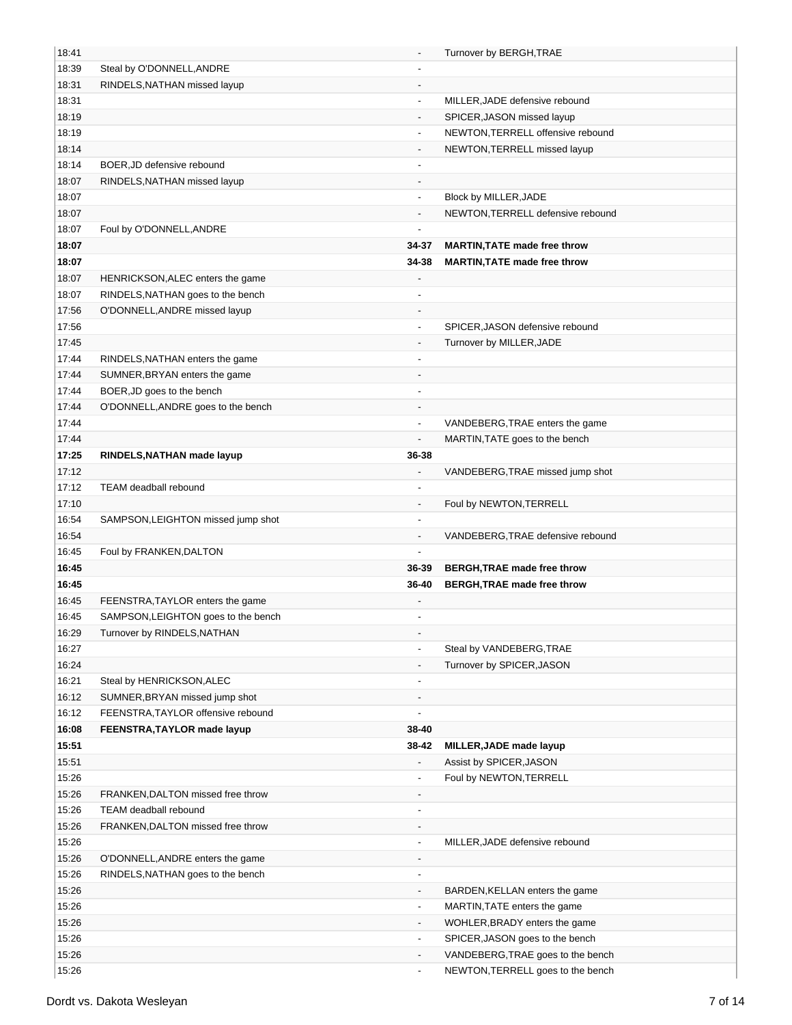| 18:41 |                                     | $\overline{\phantom{a}}$     | Turnover by BERGH, TRAE             |
|-------|-------------------------------------|------------------------------|-------------------------------------|
| 18:39 | Steal by O'DONNELL, ANDRE           | $\overline{\phantom{a}}$     |                                     |
| 18:31 | RINDELS, NATHAN missed layup        | $\blacksquare$               |                                     |
| 18:31 |                                     | $\blacksquare$               | MILLER, JADE defensive rebound      |
| 18:19 |                                     |                              | SPICER, JASON missed layup          |
| 18:19 |                                     |                              | NEWTON, TERRELL offensive rebound   |
| 18:14 |                                     | $\overline{\phantom{a}}$     | NEWTON, TERRELL missed layup        |
| 18:14 | BOER, JD defensive rebound          | $\overline{\phantom{a}}$     |                                     |
| 18:07 | RINDELS, NATHAN missed layup        | $\overline{\phantom{a}}$     |                                     |
| 18:07 |                                     | $\overline{\phantom{a}}$     | Block by MILLER, JADE               |
| 18:07 |                                     | $\overline{\phantom{a}}$     | NEWTON, TERRELL defensive rebound   |
| 18:07 | Foul by O'DONNELL, ANDRE            | $\overline{a}$               |                                     |
| 18:07 |                                     | 34-37                        | <b>MARTIN, TATE made free throw</b> |
| 18:07 |                                     | 34-38                        | <b>MARTIN, TATE made free throw</b> |
| 18:07 | HENRICKSON, ALEC enters the game    | $\overline{\phantom{a}}$     |                                     |
| 18:07 | RINDELS, NATHAN goes to the bench   | $\overline{\phantom{a}}$     |                                     |
| 17:56 | O'DONNELL, ANDRE missed layup       | $\qquad \qquad \blacksquare$ |                                     |
| 17:56 |                                     | $\qquad \qquad \blacksquare$ | SPICER, JASON defensive rebound     |
| 17:45 |                                     |                              | Turnover by MILLER, JADE            |
| 17:44 | RINDELS, NATHAN enters the game     | $\overline{\phantom{a}}$     |                                     |
| 17:44 | SUMNER, BRYAN enters the game       | $\overline{\phantom{a}}$     |                                     |
| 17:44 | BOER, JD goes to the bench          | $\overline{\phantom{a}}$     |                                     |
| 17:44 | O'DONNELL, ANDRE goes to the bench  | $\overline{\phantom{a}}$     |                                     |
| 17:44 |                                     | $\qquad \qquad \blacksquare$ | VANDEBERG, TRAE enters the game     |
| 17:44 |                                     | $\overline{a}$               | MARTIN, TATE goes to the bench      |
| 17:25 |                                     | 36-38                        |                                     |
| 17:12 | RINDELS, NATHAN made layup          |                              |                                     |
|       | <b>TEAM</b> deadball rebound        | $\overline{\phantom{a}}$     | VANDEBERG, TRAE missed jump shot    |
| 17:12 |                                     |                              |                                     |
| 17:10 |                                     | $\overline{\phantom{a}}$     | Foul by NEWTON, TERRELL             |
| 16:54 | SAMPSON, LEIGHTON missed jump shot  | $\blacksquare$               |                                     |
| 16:54 |                                     | $\overline{\phantom{a}}$     | VANDEBERG, TRAE defensive rebound   |
| 16:45 | Foul by FRANKEN, DALTON             |                              |                                     |
| 16:45 |                                     | 36-39                        | <b>BERGH, TRAE made free throw</b>  |
| 16:45 |                                     | 36-40                        | <b>BERGH, TRAE made free throw</b>  |
| 16:45 | FEENSTRA, TAYLOR enters the game    | $\overline{\phantom{a}}$     |                                     |
| 16:45 | SAMPSON, LEIGHTON goes to the bench | $\overline{\phantom{a}}$     |                                     |
| 16:29 | Turnover by RINDELS, NATHAN         | -                            |                                     |
| 16:27 |                                     | $\overline{\phantom{a}}$     | Steal by VANDEBERG, TRAE            |
| 16:24 |                                     | $\overline{\phantom{a}}$     | Turnover by SPICER, JASON           |
| 16:21 | Steal by HENRICKSON, ALEC           | $\overline{\phantom{a}}$     |                                     |
| 16:12 | SUMNER, BRYAN missed jump shot      | $\overline{\phantom{a}}$     |                                     |
| 16:12 | FEENSTRA, TAYLOR offensive rebound  | $\overline{\phantom{a}}$     |                                     |
| 16:08 | FEENSTRA, TAYLOR made layup         | 38-40                        |                                     |
| 15:51 |                                     | 38-42                        | MILLER, JADE made layup             |
| 15:51 |                                     |                              | Assist by SPICER, JASON             |
| 15:26 |                                     | $\qquad \qquad \blacksquare$ | Foul by NEWTON, TERRELL             |
| 15:26 | FRANKEN, DALTON missed free throw   | $\overline{\phantom{a}}$     |                                     |
| 15:26 | TEAM deadball rebound               | $\overline{\phantom{a}}$     |                                     |
| 15:26 | FRANKEN, DALTON missed free throw   | $\overline{\phantom{a}}$     |                                     |
| 15:26 |                                     | $\overline{\phantom{a}}$     | MILLER, JADE defensive rebound      |
| 15:26 | O'DONNELL, ANDRE enters the game    | $\overline{\phantom{a}}$     |                                     |
| 15:26 | RINDELS, NATHAN goes to the bench   | $\overline{\phantom{a}}$     |                                     |
| 15:26 |                                     | $\overline{\phantom{a}}$     | BARDEN, KELLAN enters the game      |
| 15:26 |                                     | $\overline{\phantom{a}}$     | MARTIN, TATE enters the game        |
| 15:26 |                                     | $\overline{\phantom{a}}$     | WOHLER, BRADY enters the game       |
| 15:26 |                                     | $\overline{\phantom{a}}$     | SPICER, JASON goes to the bench     |
| 15:26 |                                     | $\overline{\phantom{a}}$     | VANDEBERG, TRAE goes to the bench   |
| 15:26 |                                     | $\overline{\phantom{a}}$     | NEWTON, TERRELL goes to the bench   |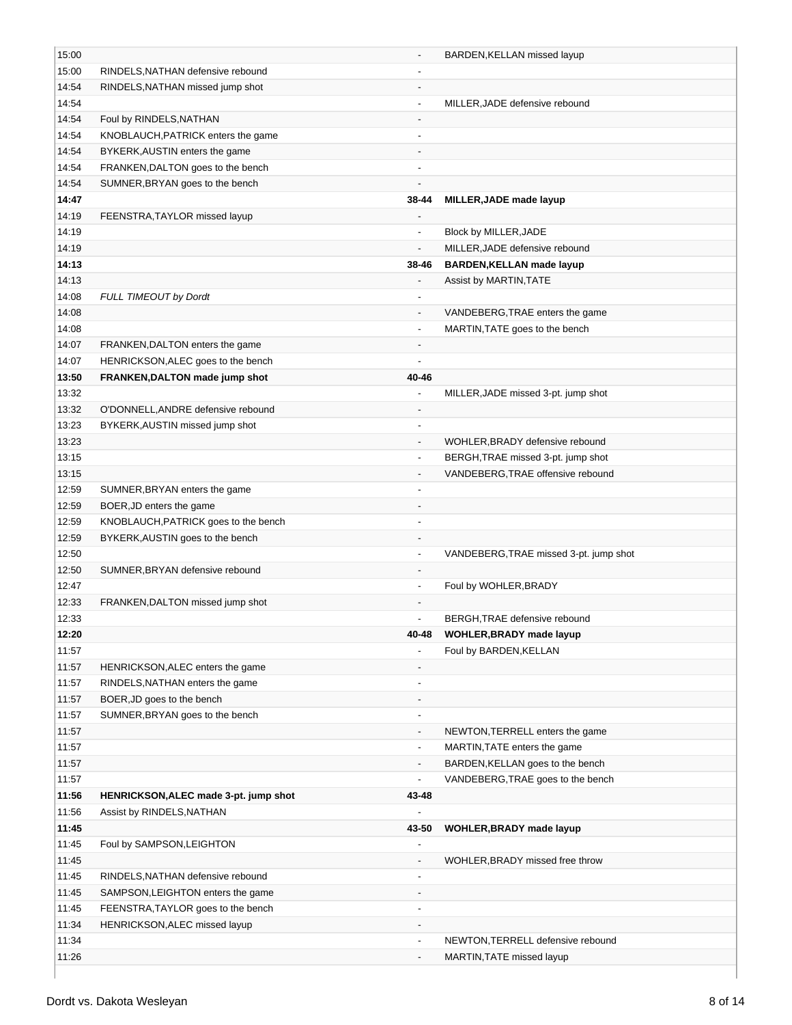| 15:00 |                                       |                          | BARDEN, KELLAN missed layup            |
|-------|---------------------------------------|--------------------------|----------------------------------------|
| 15:00 | RINDELS, NATHAN defensive rebound     |                          |                                        |
| 14:54 | RINDELS, NATHAN missed jump shot      |                          |                                        |
| 14:54 |                                       | $\overline{\phantom{a}}$ | MILLER, JADE defensive rebound         |
| 14:54 | Foul by RINDELS, NATHAN               |                          |                                        |
| 14:54 | KNOBLAUCH, PATRICK enters the game    | $\overline{\phantom{a}}$ |                                        |
| 14:54 | BYKERK, AUSTIN enters the game        |                          |                                        |
| 14:54 | FRANKEN, DALTON goes to the bench     | $\overline{\phantom{a}}$ |                                        |
| 14:54 | SUMNER, BRYAN goes to the bench       | $\blacksquare$           |                                        |
| 14:47 |                                       | 38-44                    | MILLER, JADE made layup                |
| 14:19 | FEENSTRA, TAYLOR missed layup         | $\overline{\phantom{a}}$ |                                        |
| 14:19 |                                       | $\overline{\phantom{a}}$ | Block by MILLER, JADE                  |
| 14:19 |                                       | $\overline{\phantom{a}}$ | MILLER, JADE defensive rebound         |
| 14:13 |                                       | 38-46                    | <b>BARDEN, KELLAN made layup</b>       |
| 14:13 |                                       |                          | Assist by MARTIN, TATE                 |
| 14:08 | FULL TIMEOUT by Dordt                 |                          |                                        |
| 14:08 |                                       | $\overline{\phantom{a}}$ | VANDEBERG, TRAE enters the game        |
| 14:08 |                                       | $\overline{\phantom{a}}$ | MARTIN, TATE goes to the bench         |
| 14:07 | FRANKEN, DALTON enters the game       | $\overline{\phantom{a}}$ |                                        |
| 14:07 | HENRICKSON, ALEC goes to the bench    |                          |                                        |
| 13:50 | FRANKEN, DALTON made jump shot        | 40-46                    |                                        |
| 13:32 |                                       | $\overline{\phantom{a}}$ | MILLER, JADE missed 3-pt. jump shot    |
| 13:32 | O'DONNELL, ANDRE defensive rebound    | $\overline{\phantom{m}}$ |                                        |
| 13:23 | BYKERK, AUSTIN missed jump shot       | $\overline{\phantom{a}}$ |                                        |
| 13:23 |                                       | $\overline{\phantom{a}}$ | WOHLER, BRADY defensive rebound        |
| 13:15 |                                       | $\overline{\phantom{a}}$ | BERGH, TRAE missed 3-pt. jump shot     |
| 13:15 |                                       | $\blacksquare$           | VANDEBERG, TRAE offensive rebound      |
| 12:59 | SUMNER, BRYAN enters the game         | $\overline{a}$           |                                        |
| 12:59 | BOER, JD enters the game              |                          |                                        |
| 12:59 | KNOBLAUCH, PATRICK goes to the bench  |                          |                                        |
| 12:59 | BYKERK, AUSTIN goes to the bench      | $\overline{\phantom{a}}$ |                                        |
| 12:50 |                                       | $\overline{\phantom{a}}$ | VANDEBERG, TRAE missed 3-pt. jump shot |
| 12:50 | SUMNER, BRYAN defensive rebound       | $\overline{\phantom{a}}$ |                                        |
| 12:47 |                                       | $\blacksquare$           | Foul by WOHLER, BRADY                  |
| 12:33 | FRANKEN, DALTON missed jump shot      | $\blacksquare$           |                                        |
| 12:33 |                                       | $\overline{\phantom{a}}$ | BERGH, TRAE defensive rebound          |
| 12:20 |                                       | 40-48                    | <b>WOHLER, BRADY made layup</b>        |
| 11:57 |                                       |                          | Foul by BARDEN, KELLAN                 |
| 11:57 | HENRICKSON, ALEC enters the game      |                          |                                        |
| 11:57 | RINDELS, NATHAN enters the game       | $\overline{\phantom{a}}$ |                                        |
| 11:57 | BOER, JD goes to the bench            |                          |                                        |
| 11:57 | SUMNER, BRYAN goes to the bench       | $\overline{\phantom{a}}$ |                                        |
| 11:57 |                                       | $\overline{\phantom{a}}$ | NEWTON, TERRELL enters the game        |
| 11:57 |                                       |                          | MARTIN, TATE enters the game           |
| 11:57 |                                       | $\overline{\phantom{a}}$ | BARDEN, KELLAN goes to the bench       |
| 11:57 |                                       | $\overline{\phantom{a}}$ | VANDEBERG, TRAE goes to the bench      |
| 11:56 | HENRICKSON, ALEC made 3-pt. jump shot | 43-48                    |                                        |
| 11:56 | Assist by RINDELS, NATHAN             |                          |                                        |
| 11:45 |                                       | 43-50                    | <b>WOHLER, BRADY made layup</b>        |
| 11:45 | Foul by SAMPSON, LEIGHTON             |                          |                                        |
| 11:45 |                                       | $\overline{\phantom{a}}$ | WOHLER, BRADY missed free throw        |
| 11:45 | RINDELS, NATHAN defensive rebound     |                          |                                        |
| 11:45 | SAMPSON, LEIGHTON enters the game     | $\overline{\phantom{a}}$ |                                        |
| 11:45 | FEENSTRA, TAYLOR goes to the bench    | $\blacksquare$           |                                        |
| 11:34 | HENRICKSON, ALEC missed layup         | $\overline{\phantom{a}}$ |                                        |
| 11:34 |                                       | $\overline{\phantom{a}}$ | NEWTON, TERRELL defensive rebound      |
| 11:26 |                                       |                          | MARTIN, TATE missed layup              |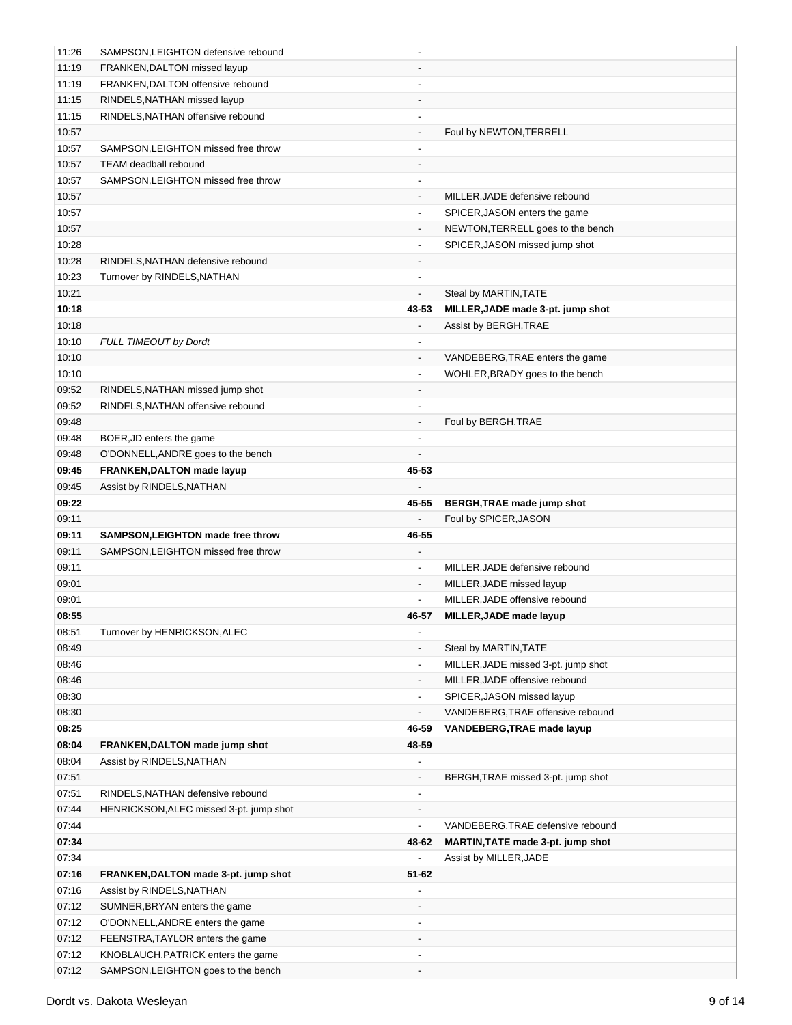| 11:26          | SAMPSON, LEIGHTON defensive rebound     |                              |                                     |  |
|----------------|-----------------------------------------|------------------------------|-------------------------------------|--|
| 11:19          | FRANKEN, DALTON missed layup            |                              |                                     |  |
| 11:19          | FRANKEN, DALTON offensive rebound       |                              |                                     |  |
| 11:15          | RINDELS, NATHAN missed layup            |                              |                                     |  |
| 11:15          | RINDELS, NATHAN offensive rebound       | $\overline{\phantom{a}}$     |                                     |  |
| 10:57          |                                         |                              | Foul by NEWTON, TERRELL             |  |
| 10:57          | SAMPSON, LEIGHTON missed free throw     |                              |                                     |  |
| 10:57          | <b>TEAM</b> deadball rebound            |                              |                                     |  |
| 10:57          | SAMPSON, LEIGHTON missed free throw     | $\overline{\phantom{a}}$     |                                     |  |
| 10:57          |                                         | $\overline{\phantom{a}}$     | MILLER, JADE defensive rebound      |  |
| 10:57          |                                         | $\overline{\phantom{a}}$     | SPICER, JASON enters the game       |  |
| 10:57          |                                         | $\overline{\phantom{a}}$     | NEWTON, TERRELL goes to the bench   |  |
| 10:28          |                                         | $\overline{\phantom{a}}$     | SPICER, JASON missed jump shot      |  |
| 10:28          | RINDELS, NATHAN defensive rebound       | $\overline{\phantom{a}}$     |                                     |  |
| 10:23          | Turnover by RINDELS, NATHAN             | $\blacksquare$               |                                     |  |
| 10:21          |                                         | $\overline{\phantom{a}}$     | Steal by MARTIN, TATE               |  |
| 10:18          |                                         | 43-53                        | MILLER, JADE made 3-pt. jump shot   |  |
| 10:18          |                                         |                              | Assist by BERGH, TRAE               |  |
| 10:10          | <b>FULL TIMEOUT by Dordt</b>            |                              |                                     |  |
| 10:10          |                                         | $\overline{\phantom{a}}$     | VANDEBERG, TRAE enters the game     |  |
| 10:10          |                                         | $\qquad \qquad \blacksquare$ | WOHLER, BRADY goes to the bench     |  |
| 09:52          | RINDELS, NATHAN missed jump shot        | $\overline{\phantom{a}}$     |                                     |  |
| 09:52          | RINDELS, NATHAN offensive rebound       | $\overline{\phantom{a}}$     |                                     |  |
| 09:48          |                                         | $\overline{\phantom{a}}$     | Foul by BERGH, TRAE                 |  |
|                |                                         | $\overline{\phantom{a}}$     |                                     |  |
| 09:48<br>09:48 | BOER, JD enters the game                |                              |                                     |  |
|                | O'DONNELL, ANDRE goes to the bench      |                              |                                     |  |
| 09:45          | FRANKEN, DALTON made layup              | 45-53                        |                                     |  |
| 09:45          | Assist by RINDELS, NATHAN               |                              |                                     |  |
| 09:22          |                                         | 45-55                        | BERGH, TRAE made jump shot          |  |
|                |                                         |                              |                                     |  |
| 09:11          |                                         | ÷,                           | Foul by SPICER, JASON               |  |
| 09:11          | SAMPSON, LEIGHTON made free throw       | 46-55                        |                                     |  |
| 09:11          | SAMPSON, LEIGHTON missed free throw     |                              |                                     |  |
| 09:11          |                                         | $\overline{\phantom{a}}$     | MILLER, JADE defensive rebound      |  |
| 09:01          |                                         |                              | MILLER, JADE missed layup           |  |
| 09:01          |                                         |                              | MILLER, JADE offensive rebound      |  |
| 08:55          |                                         | 46-57                        | MILLER, JADE made layup             |  |
| 08:51          | Turnover by HENRICKSON, ALEC            | $\overline{\phantom{a}}$     |                                     |  |
| 08:49          |                                         | $\overline{\phantom{a}}$     | Steal by MARTIN, TATE               |  |
| 08:46          |                                         | $\overline{\phantom{a}}$     | MILLER, JADE missed 3-pt. jump shot |  |
| 08:46          |                                         | $\overline{\phantom{a}}$     | MILLER, JADE offensive rebound      |  |
| 08:30          |                                         | $\overline{\phantom{a}}$     | SPICER, JASON missed layup          |  |
| 08:30          |                                         | $\overline{\phantom{a}}$     | VANDEBERG, TRAE offensive rebound   |  |
| 08:25          |                                         | 46-59                        | <b>VANDEBERG, TRAE made layup</b>   |  |
| 08:04          | FRANKEN, DALTON made jump shot          | 48-59                        |                                     |  |
| 08:04          | Assist by RINDELS, NATHAN               |                              |                                     |  |
| 07:51          |                                         | $\overline{\phantom{a}}$     | BERGH, TRAE missed 3-pt. jump shot  |  |
| 07:51          | RINDELS, NATHAN defensive rebound       | $\overline{\phantom{a}}$     |                                     |  |
| 07:44          | HENRICKSON, ALEC missed 3-pt. jump shot | -                            |                                     |  |
| 07:44          |                                         | $\overline{\phantom{a}}$     | VANDEBERG, TRAE defensive rebound   |  |
| 07:34          |                                         | 48-62                        | MARTIN, TATE made 3-pt. jump shot   |  |
| 07:34          |                                         |                              | Assist by MILLER, JADE              |  |
| 07:16          | FRANKEN, DALTON made 3-pt. jump shot    | 51-62                        |                                     |  |
| 07:16          | Assist by RINDELS, NATHAN               |                              |                                     |  |
| 07:12          | SUMNER, BRYAN enters the game           | $\overline{\phantom{a}}$     |                                     |  |
| 07:12          | O'DONNELL, ANDRE enters the game        |                              |                                     |  |
| 07:12          | FEENSTRA, TAYLOR enters the game        |                              |                                     |  |
| 07:12          | KNOBLAUCH, PATRICK enters the game      |                              |                                     |  |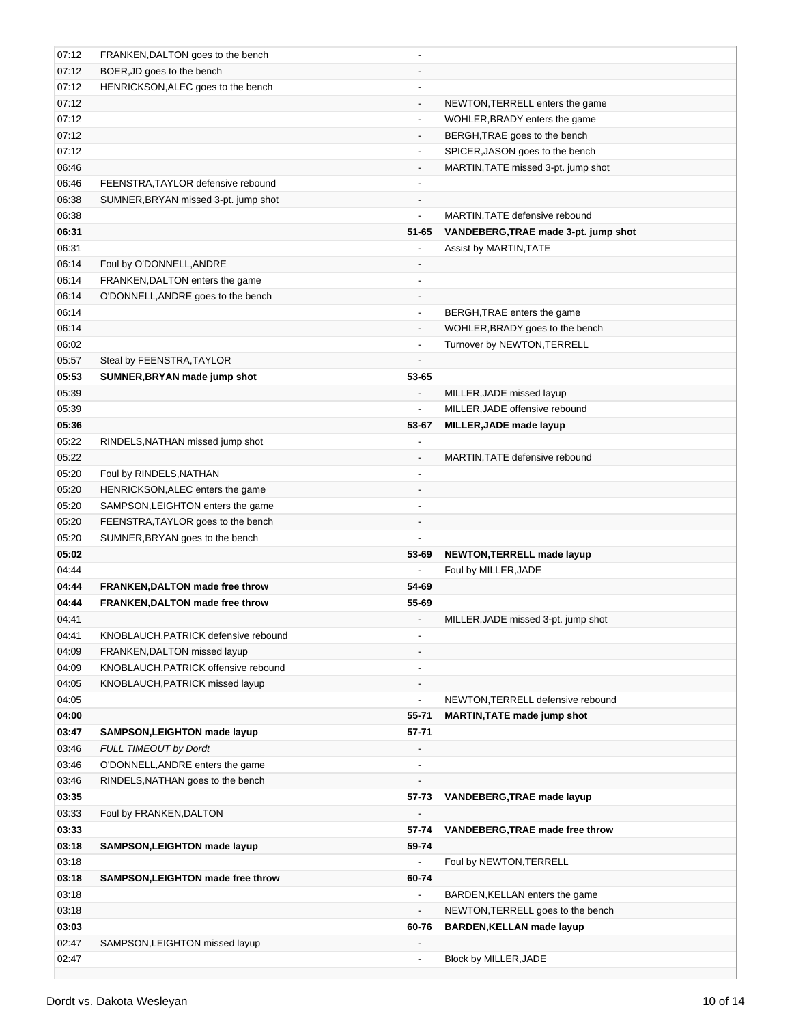| 07:12          | FRANKEN, DALTON goes to the bench      |                                   |                                      |
|----------------|----------------------------------------|-----------------------------------|--------------------------------------|
| 07:12          | BOER, JD goes to the bench             |                                   |                                      |
| 07:12          | HENRICKSON, ALEC goes to the bench     |                                   |                                      |
| 07:12          |                                        | $\overline{\phantom{a}}$          | NEWTON, TERRELL enters the game      |
| 07:12          |                                        | $\blacksquare$                    | WOHLER, BRADY enters the game        |
| 07:12          |                                        | $\overline{\phantom{a}}$          | BERGH, TRAE goes to the bench        |
| 07:12          |                                        | $\overline{\phantom{a}}$          | SPICER, JASON goes to the bench      |
| 06:46          |                                        | $\overline{\phantom{a}}$          | MARTIN, TATE missed 3-pt. jump shot  |
| 06:46          | FEENSTRA, TAYLOR defensive rebound     | $\blacksquare$                    |                                      |
| 06:38          | SUMNER, BRYAN missed 3-pt. jump shot   |                                   |                                      |
| 06:38          |                                        | $\frac{1}{2}$                     | MARTIN, TATE defensive rebound       |
| 06:31          |                                        | 51-65                             | VANDEBERG, TRAE made 3-pt. jump shot |
| 06:31          |                                        |                                   | Assist by MARTIN, TATE               |
| 06:14          | Foul by O'DONNELL, ANDRE               |                                   |                                      |
| 06:14          | FRANKEN, DALTON enters the game        |                                   |                                      |
| 06:14          | O'DONNELL, ANDRE goes to the bench     | $\overline{\phantom{a}}$          |                                      |
| 06:14          |                                        | $\overline{\phantom{a}}$          | BERGH, TRAE enters the game          |
| 06:14          |                                        | $\overline{\phantom{a}}$          | WOHLER, BRADY goes to the bench      |
| 06:02          |                                        | $\overline{\phantom{a}}$          | Turnover by NEWTON, TERRELL          |
| 05:57          | Steal by FEENSTRA, TAYLOR              | $\overline{a}$                    |                                      |
| 05:53          | SUMNER, BRYAN made jump shot           | 53-65                             |                                      |
| 05:39          |                                        | $\blacksquare$                    | MILLER, JADE missed layup            |
| 05:39          |                                        | $\overline{a}$                    | MILLER, JADE offensive rebound       |
| 05:36          |                                        | 53-67                             | MILLER, JADE made layup              |
| 05:22          | RINDELS, NATHAN missed jump shot       |                                   |                                      |
| 05:22          |                                        | $\blacksquare$                    | MARTIN, TATE defensive rebound       |
| 05:20          | Foul by RINDELS, NATHAN                | $\overline{\phantom{a}}$          |                                      |
| 05:20          | HENRICKSON, ALEC enters the game       | $\overline{\phantom{a}}$          |                                      |
| 05:20          | SAMPSON, LEIGHTON enters the game      |                                   |                                      |
| 05:20          | FEENSTRA, TAYLOR goes to the bench     |                                   |                                      |
| 05:20          | SUMNER, BRYAN goes to the bench        |                                   |                                      |
| 05:02          |                                        | 53-69                             | <b>NEWTON, TERRELL made layup</b>    |
| 04:44          |                                        | $\overline{a}$                    | Foul by MILLER, JADE                 |
| 04:44          | <b>FRANKEN, DALTON made free throw</b> | 54-69                             |                                      |
| 04:44          | FRANKEN, DALTON made free throw        | 55-69                             |                                      |
| 04:41          |                                        | $\overline{a}$                    | MILLER, JADE missed 3-pt. jump shot  |
| 04:41          | KNOBLAUCH, PATRICK defensive rebound   | $\overline{\phantom{a}}$          |                                      |
| 04:09          | FRANKEN, DALTON missed layup           |                                   |                                      |
| 04:09          | KNOBLAUCH, PATRICK offensive rebound   | $\overline{\phantom{a}}$          |                                      |
| 04:05          | KNOBLAUCH, PATRICK missed layup        | $\overline{\phantom{a}}$          |                                      |
| 04:05          |                                        | $\frac{1}{2}$                     | NEWTON, TERRELL defensive rebound    |
| 04:00<br>03:47 |                                        | 55-71                             | <b>MARTIN, TATE made jump shot</b>   |
|                | SAMPSON, LEIGHTON made layup           | $57 - 71$                         |                                      |
| 03:46          | <b>FULL TIMEOUT by Dordt</b>           |                                   |                                      |
| 03:46<br>03:46 | O'DONNELL, ANDRE enters the game       | $\overline{\phantom{a}}$          |                                      |
| 03:35          | RINDELS, NATHAN goes to the bench      | 57-73                             | VANDEBERG, TRAE made layup           |
| 03:33          |                                        |                                   |                                      |
| 03:33          | Foul by FRANKEN, DALTON                | 57-74                             |                                      |
|                |                                        |                                   | VANDEBERG, TRAE made free throw      |
| 03:18<br>03:18 | SAMPSON, LEIGHTON made layup           | 59-74<br>$\overline{a}$           | Foul by NEWTON, TERRELL              |
|                |                                        |                                   |                                      |
| 03:18<br>03:18 | SAMPSON, LEIGHTON made free throw      | 60-74<br>$\overline{\phantom{a}}$ | BARDEN, KELLAN enters the game       |
| 03:18          |                                        | $\overline{\phantom{a}}$          | NEWTON, TERRELL goes to the bench    |
| 03:03          |                                        | 60-76                             | <b>BARDEN, KELLAN made layup</b>     |
| 02:47          | SAMPSON, LEIGHTON missed layup         | $\overline{\phantom{a}}$          |                                      |
| 02:47          |                                        | $\overline{\phantom{a}}$          | Block by MILLER, JADE                |
|                |                                        |                                   |                                      |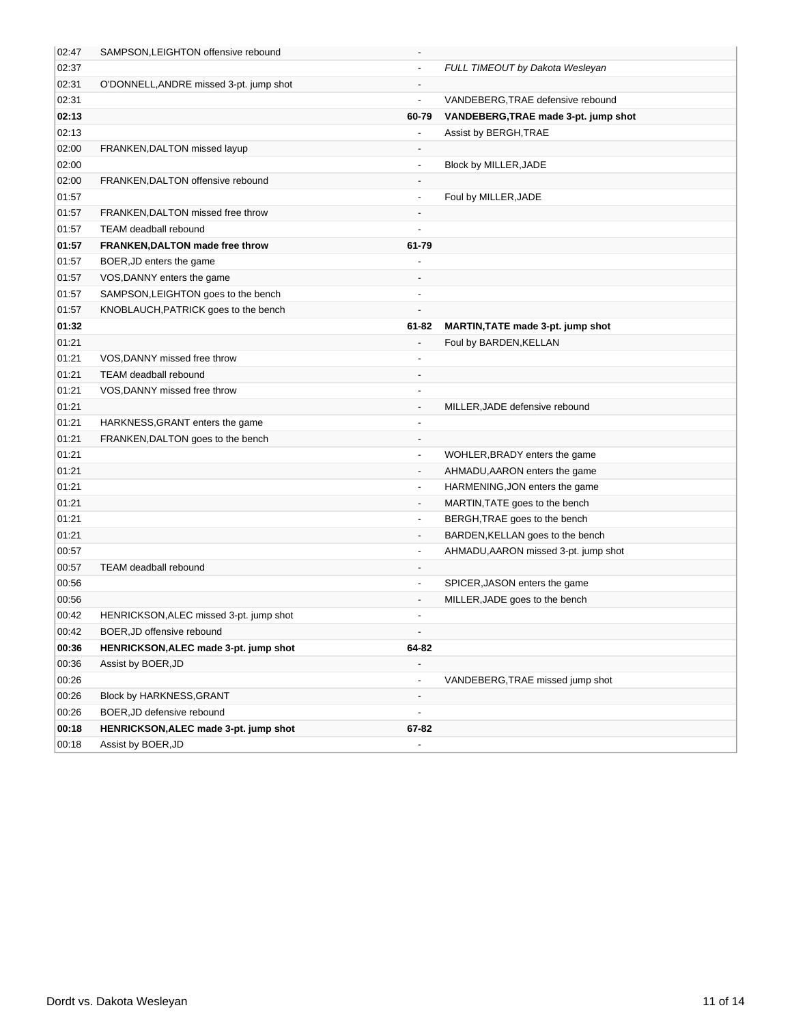| 02:47 | SAMPSON, LEIGHTON offensive rebound     | $\overline{\phantom{a}}$     |                                      |
|-------|-----------------------------------------|------------------------------|--------------------------------------|
| 02:37 |                                         | $\blacksquare$               | FULL TIMEOUT by Dakota Wesleyan      |
| 02:31 | O'DONNELL, ANDRE missed 3-pt. jump shot | $\qquad \qquad \blacksquare$ |                                      |
| 02:31 |                                         | $\overline{a}$               | VANDEBERG, TRAE defensive rebound    |
| 02:13 |                                         | 60-79                        | VANDEBERG, TRAE made 3-pt. jump shot |
| 02:13 |                                         |                              | Assist by BERGH, TRAE                |
| 02:00 | FRANKEN, DALTON missed layup            | $\overline{\phantom{a}}$     |                                      |
| 02:00 |                                         | $\overline{\phantom{a}}$     | Block by MILLER, JADE                |
| 02:00 | FRANKEN, DALTON offensive rebound       | $\overline{\phantom{a}}$     |                                      |
| 01:57 |                                         | $\overline{\phantom{a}}$     | Foul by MILLER, JADE                 |
| 01:57 | FRANKEN, DALTON missed free throw       | $\qquad \qquad \blacksquare$ |                                      |
| 01:57 | <b>TEAM</b> deadball rebound            | $\overline{a}$               |                                      |
| 01:57 | FRANKEN, DALTON made free throw         | 61-79                        |                                      |
| 01:57 | BOER, JD enters the game                |                              |                                      |
| 01:57 | VOS, DANNY enters the game              |                              |                                      |
| 01:57 | SAMPSON, LEIGHTON goes to the bench     | $\overline{\phantom{a}}$     |                                      |
| 01:57 | KNOBLAUCH, PATRICK goes to the bench    |                              |                                      |
| 01:32 |                                         | 61-82                        | MARTIN, TATE made 3-pt. jump shot    |
| 01:21 |                                         | $\overline{a}$               | Foul by BARDEN, KELLAN               |
| 01:21 | VOS, DANNY missed free throw            |                              |                                      |
| 01:21 | <b>TEAM</b> deadball rebound            | $\overline{\phantom{a}}$     |                                      |
| 01:21 | VOS, DANNY missed free throw            | $\blacksquare$               |                                      |
| 01:21 |                                         | $\blacksquare$               | MILLER, JADE defensive rebound       |
| 01:21 | HARKNESS, GRANT enters the game         | $\qquad \qquad \blacksquare$ |                                      |
| 01:21 | FRANKEN, DALTON goes to the bench       | $\overline{\phantom{a}}$     |                                      |
| 01:21 |                                         | $\overline{\phantom{a}}$     | WOHLER, BRADY enters the game        |
| 01:21 |                                         | $\blacksquare$               | AHMADU, AARON enters the game        |
| 01:21 |                                         |                              | HARMENING, JON enters the game       |
| 01:21 |                                         |                              | MARTIN, TATE goes to the bench       |
| 01:21 |                                         | $\blacksquare$               | BERGH, TRAE goes to the bench        |
| 01:21 |                                         | $\overline{a}$               | BARDEN, KELLAN goes to the bench     |
| 00:57 |                                         |                              | AHMADU, AARON missed 3-pt. jump shot |
| 00:57 | <b>TEAM</b> deadball rebound            |                              |                                      |
| 00:56 |                                         | $\blacksquare$               | SPICER, JASON enters the game        |
| 00:56 |                                         | $\overline{\phantom{a}}$     | MILLER, JADE goes to the bench       |
| 00:42 | HENRICKSON, ALEC missed 3-pt. jump shot | $\blacksquare$               |                                      |
| 00:42 | BOER, JD offensive rebound              | $\overline{\phantom{a}}$     |                                      |
| 00:36 | HENRICKSON, ALEC made 3-pt. jump shot   | 64-82                        |                                      |
| 00:36 | Assist by BOER, JD                      | $\overline{\phantom{a}}$     |                                      |
| 00:26 |                                         | $\overline{\phantom{a}}$     | VANDEBERG, TRAE missed jump shot     |
| 00:26 | Block by HARKNESS, GRANT                | $\overline{\phantom{a}}$     |                                      |
| 00:26 | BOER, JD defensive rebound              | $\qquad \qquad \blacksquare$ |                                      |
| 00:18 | HENRICKSON, ALEC made 3-pt. jump shot   | 67-82                        |                                      |
| 00:18 | Assist by BOER, JD                      | $\qquad \qquad \blacksquare$ |                                      |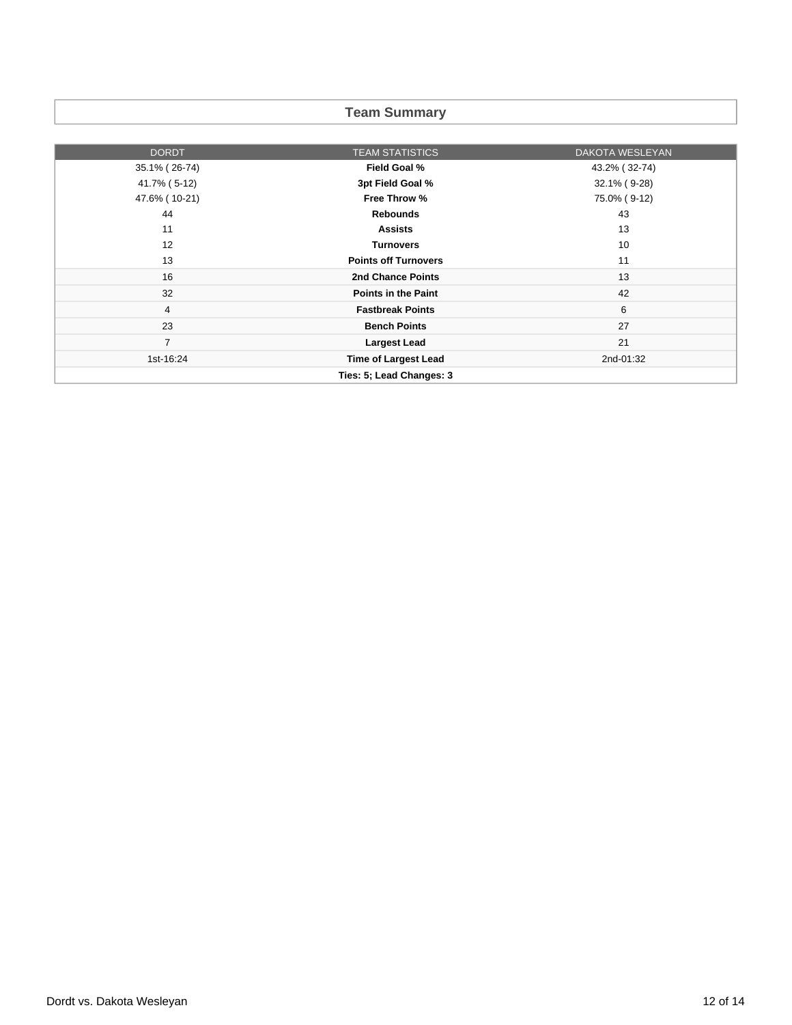# **Team Summary**

| <b>DORDT</b>   | <b>TEAM STATISTICS</b>      | DAKOTA WESLEYAN |
|----------------|-----------------------------|-----------------|
| 35.1% (26-74)  | Field Goal %                | 43.2% (32-74)   |
| 41.7% (5-12)   | 3pt Field Goal %            | 32.1% (9-28)    |
| 47.6% (10-21)  | Free Throw %                | 75.0% (9-12)    |
| 44             | <b>Rebounds</b>             | 43              |
| 11             | <b>Assists</b>              | 13              |
| 12             | <b>Turnovers</b>            | 10              |
| 13             | <b>Points off Turnovers</b> | 11              |
| 16             | 2nd Chance Points           | 13              |
| 32             | <b>Points in the Paint</b>  | 42              |
| 4              | <b>Fastbreak Points</b>     | 6               |
| 23             | <b>Bench Points</b>         | 27              |
| $\overline{7}$ | <b>Largest Lead</b>         | 21              |
| 1st-16:24      | <b>Time of Largest Lead</b> | 2nd-01:32       |
|                | Ties: 5; Lead Changes: 3    |                 |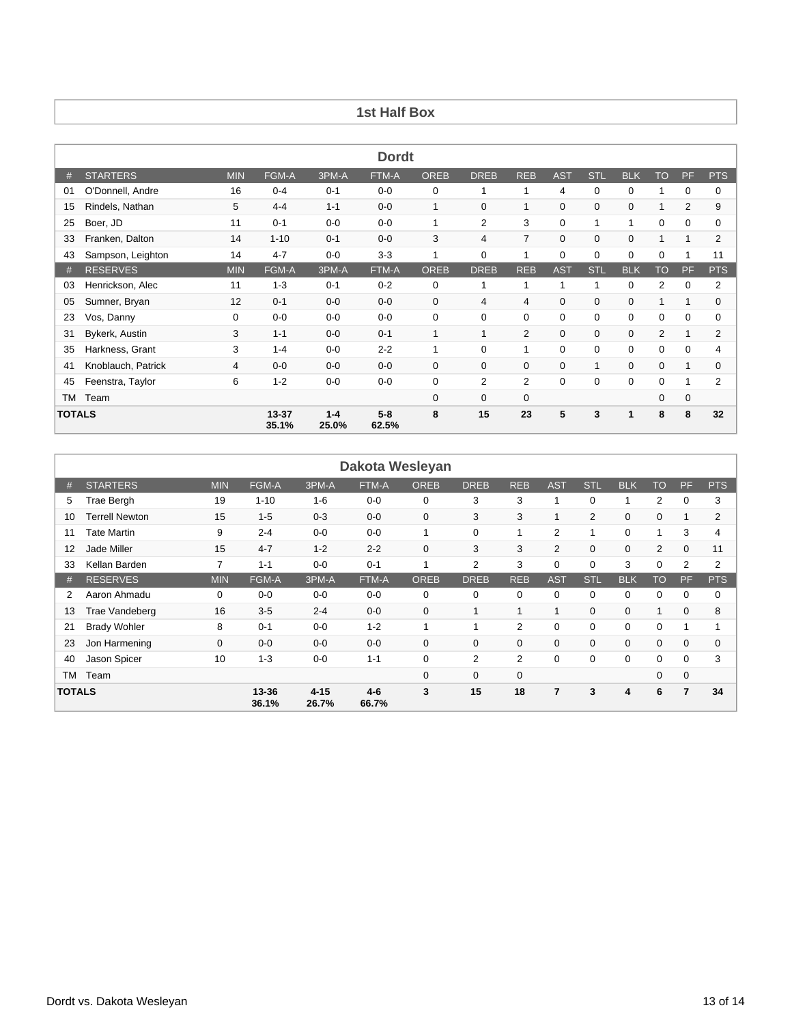## **1st Half Box**

| <b>Dordt</b>  |                    |            |                    |                  |                  |             |                |                |             |              |              |                |             |                |
|---------------|--------------------|------------|--------------------|------------------|------------------|-------------|----------------|----------------|-------------|--------------|--------------|----------------|-------------|----------------|
| #             | <b>STARTERS</b>    | <b>MIN</b> | FGM-A              | 3PM-A            | FTM-A            | <b>OREB</b> | <b>DREB</b>    | <b>REB</b>     | <b>AST</b>  | <b>STL</b>   | <b>BLK</b>   | <b>TO</b>      | PF          | <b>PTS</b>     |
| 01            | O'Donnell, Andre   | 16         | $0 - 4$            | $0 - 1$          | $0-0$            | 0           |                |                | 4           | 0            | $\mathbf 0$  | 1              | 0           | 0              |
| 15            | Rindels, Nathan    | 5          | $4 - 4$            | $1 - 1$          | $0-0$            | 1           | $\mathbf 0$    | 1              | 0           | 0            | $\mathbf 0$  | 1              | 2           | 9              |
| 25            | Boer, JD           | 11         | $0 - 1$            | $0-0$            | $0-0$            | -1          | 2              | 3              | 0           | $\mathbf{1}$ | $\mathbf{1}$ | 0              | 0           | $\Omega$       |
| 33            | Franken, Dalton    | 14         | $1 - 10$           | $0 - 1$          | $0-0$            | 3           | $\overline{4}$ | $\overline{7}$ | $\mathbf 0$ | 0            | $\mathbf 0$  | 1              | 1           | $\overline{2}$ |
| 43            | Sampson, Leighton  | 14         | $4 - 7$            | $0-0$            | $3-3$            |             | 0              | 1              | $\mathbf 0$ | 0            | $\mathbf 0$  | $\mathbf 0$    |             | 11             |
| #             | <b>RESERVES</b>    | <b>MIN</b> | FGM-A              | 3PM-A            | FTM-A            | <b>OREB</b> | <b>DREB</b>    | <b>REB</b>     | <b>AST</b>  | <b>STL</b>   | <b>BLK</b>   | <b>TO</b>      | PF          | <b>PTS</b>     |
| 03            | Henrickson, Alec   | 11         | $1 - 3$            | $0 - 1$          | $0 - 2$          | 0           | 1              | 1              | 1           |              | $\mathbf 0$  | $\overline{2}$ | 0           | $\overline{2}$ |
| 05            | Sumner, Bryan      | 12         | $0 - 1$            | $0-0$            | $0-0$            | $\mathbf 0$ | 4              | 4              | 0           | 0            | $\mathbf 0$  | 1              | 1           | $\Omega$       |
| 23            | Vos, Danny         | 0          | $0-0$              | $0-0$            | $0-0$            | $\mathbf 0$ | $\Omega$       | $\mathbf 0$    | $\mathbf 0$ | $\Omega$     | $\mathbf 0$  | $\mathbf 0$    | $\mathbf 0$ | $\Omega$       |
| 31            | Bykerk, Austin     | 3          | $1 - 1$            | $0-0$            | $0 - 1$          |             |                | 2              | $\mathbf 0$ | 0            | $\mathbf 0$  | 2              |             | $\overline{2}$ |
| 35            | Harkness, Grant    | 3          | $1 - 4$            | $0-0$            | $2 - 2$          |             | $\Omega$       | 1              | $\mathbf 0$ | $\Omega$     | $\Omega$     | $\mathbf 0$    | $\Omega$    | 4              |
| 41            | Knoblauch, Patrick | 4          | $0-0$              | $0-0$            | $0-0$            | $\mathbf 0$ | $\mathbf 0$    | 0              | 0           |              | 0            | $\mathbf 0$    | 1           | $\Omega$       |
| 45            | Feenstra, Taylor   | 6          | $1 - 2$            | $0-0$            | $0-0$            | 0           | $\overline{2}$ | $\overline{2}$ | 0           | 0            | 0            | 0              |             | $\overline{2}$ |
| TM            | Team               |            |                    |                  |                  | $\mathbf 0$ | $\mathbf 0$    | 0              |             |              |              | 0              | 0           |                |
| <b>TOTALS</b> |                    |            | $13 - 37$<br>35.1% | $1 - 4$<br>25.0% | $5 - 8$<br>62.5% | 8           | 15             | 23             | 5           | 3            | 1            | 8              | 8           | 32             |

|               | Dakota Wesleyan     |                |                   |                  |         |             |             |             |                |                |             |                 |    |                |
|---------------|---------------------|----------------|-------------------|------------------|---------|-------------|-------------|-------------|----------------|----------------|-------------|-----------------|----|----------------|
| #             | <b>STARTERS</b>     | <b>MIN</b>     | <b>FGM-A</b>      | 3PM-A            | FTM-A   | <b>OREB</b> | <b>DREB</b> | <b>REB</b>  | <b>AST</b>     | <b>STL</b>     | <b>BLK</b>  | <b>TO</b>       | PF | <b>PTS</b>     |
| 5             | Trae Bergh          | 19             | $1 - 10$          | $1 - 6$          | $0 - 0$ | 0           | 3           | 3           |                | $\Omega$       | 1           | 2               | 0  | 3              |
| 10            | Terrell Newton      | 15             | $1 - 5$           | $0 - 3$          | $0-0$   | 0           | 3           | 3           |                | $\overline{2}$ | $\mathbf 0$ | $\mathbf 0$     |    | $\overline{2}$ |
| 11            | Tate Martin         | 9              | $2 - 4$           | $0-0$            | $0 - 0$ | 1           | 0           | 1           | 2              | 1              | 0           | 1               | 3  | 4              |
| 12            | Jade Miller         | 15             | $4 - 7$           | $1 - 2$          | $2 - 2$ | $\mathbf 0$ | 3           | 3           | $\overline{2}$ | $\mathbf 0$    | $\mathbf 0$ | $\overline{2}$  | 0  | 11             |
| 33            | Kellan Barden       | 7              | $1 - 1$           | $0-0$            | $0 - 1$ | 1           | 2           | 3           | 0              | $\Omega$       | 3           | 0               | 2  | $\overline{2}$ |
| #             | <b>RESERVES</b>     | <b>MIN</b>     | FGM-A             | 3PM-A            | FTM-A   | <b>OREB</b> | <b>DREB</b> | <b>REB</b>  | <b>AST</b>     | <b>STL</b>     | <b>BLK</b>  | TO <sup>1</sup> | PF | <b>PTS</b>     |
| 2             | Aaron Ahmadu        | 0              | $0-0$             | $0-0$            | $0-0$   | 0           | 0           | $\Omega$    | 0              | $\Omega$       | 0           | 0               | 0  | 0              |
| 13            | Trae Vandeberg      | 16             | $3-5$             | $2 - 4$          | $0-0$   | 0           | 4           | 4           |                | $\mathbf 0$    | $\mathbf 0$ | 1               | 0  | 8              |
| 21            | <b>Brady Wohler</b> | 8              | $0 - 1$           | $0-0$            | $1 - 2$ | 1           |             | 2           | 0              | $\Omega$       | 0           | 0               |    | 1              |
| 23            | Jon Harmening       | 0              | $0-0$             | $0-0$            | $0-0$   | 0           | 0           | $\mathbf 0$ | $\Omega$       | $\Omega$       | $\mathbf 0$ | $\mathbf{0}$    | 0  | $\mathbf 0$    |
| 40            | Jason Spicer        | 10             | $1 - 3$           | $0-0$            | $1 - 1$ | $\mathbf 0$ | 2           | 2           | $\Omega$       | $\Omega$       | 0           | 0               | 0  | 3              |
| TM            | Team                |                |                   |                  |         | 0           | 0           | $\mathbf 0$ |                |                |             | 0               | 0  |                |
| <b>TOTALS</b> |                     | 13-36<br>36.1% | $4 - 15$<br>26.7% | $4 - 6$<br>66.7% | 3       | 15          | 18          | 7           | 3              | 4              | 6           | $\overline{7}$  | 34 |                |